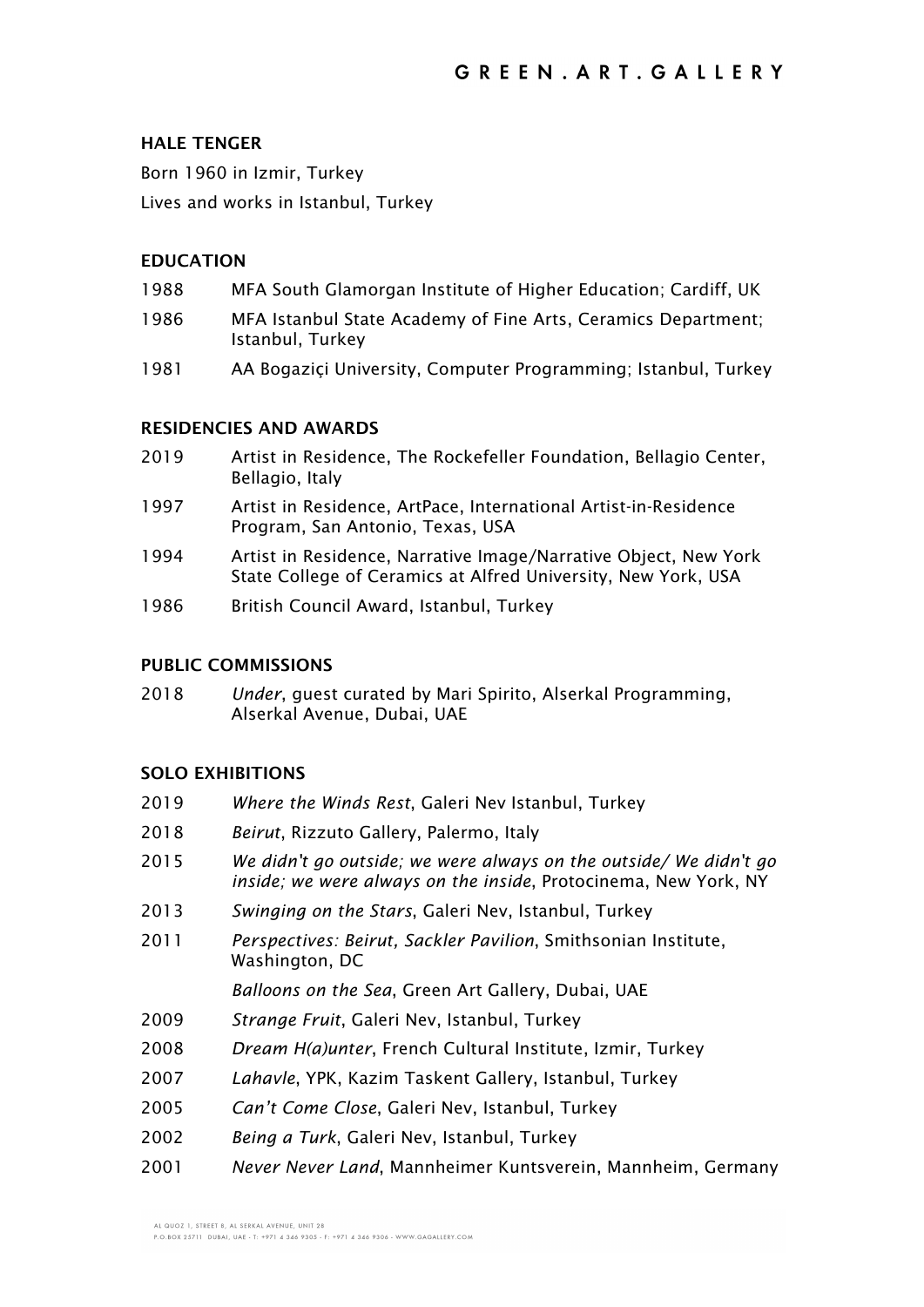# **HALE TENGER**

Born 1960 in Izmir, Turkey Lives and works in Istanbul, Turkey

# **EDUCATION**

- 1988 MFA South Glamorgan Institute of Higher Education; Cardiff, UK
- 1986 MFA Istanbul State Academy of Fine Arts, Ceramics Department; Istanbul, Turkey
- 1981 AA Bogaziçi University, Computer Programming; Istanbul, Turkey

## **RESIDENCIES AND AWARDS**

- 2019 Artist in Residence, The Rockefeller Foundation, Bellagio Center, Bellagio, Italy
- 1997 Artist in Residence, ArtPace, International Artist-in-Residence Program, San Antonio, Texas, USA
- 1994 Artist in Residence, Narrative Image/Narrative Object, New York State College of Ceramics at Alfred University, New York, USA
- 1986 British Council Award, Istanbul, Turkey

## **PUBLIC COMMISSIONS**

2018 *Under*, guest curated by Mari Spirito, Alserkal Programming, Alserkal Avenue, Dubai, UAE

# **SOLO EXHIBITIONS**

| 2019 | Where the Winds Rest, Galeri Nev Istanbul, Turkey                                                                                           |
|------|---------------------------------------------------------------------------------------------------------------------------------------------|
| 2018 | Beirut, Rizzuto Gallery, Palermo, Italy                                                                                                     |
| 2015 | We didn't go outside; we were always on the outside/We didn't go<br><i>inside; we were always on the inside</i> , Protocinema, New York, NY |
| 2013 | Swinging on the Stars, Galeri Nev, Istanbul, Turkey                                                                                         |
| 2011 | Perspectives: Beirut, Sackler Pavilion, Smithsonian Institute,<br>Washington, DC                                                            |
|      | Balloons on the Sea, Green Art Gallery, Dubai, UAE                                                                                          |
| 2009 | Strange Fruit, Galeri Nev, Istanbul, Turkey                                                                                                 |
| 2008 | Dream H(a)unter, French Cultural Institute, Izmir, Turkey                                                                                   |
| 2007 | Lahavle, YPK, Kazim Taskent Gallery, Istanbul, Turkey                                                                                       |
| 2005 | Can't Come Close, Galeri Nev, Istanbul, Turkey                                                                                              |
| 2002 | Being a Turk, Galeri Nev, Istanbul, Turkey                                                                                                  |

2001 *Never Never Land*, Mannheimer Kuntsverein, Mannheim, Germany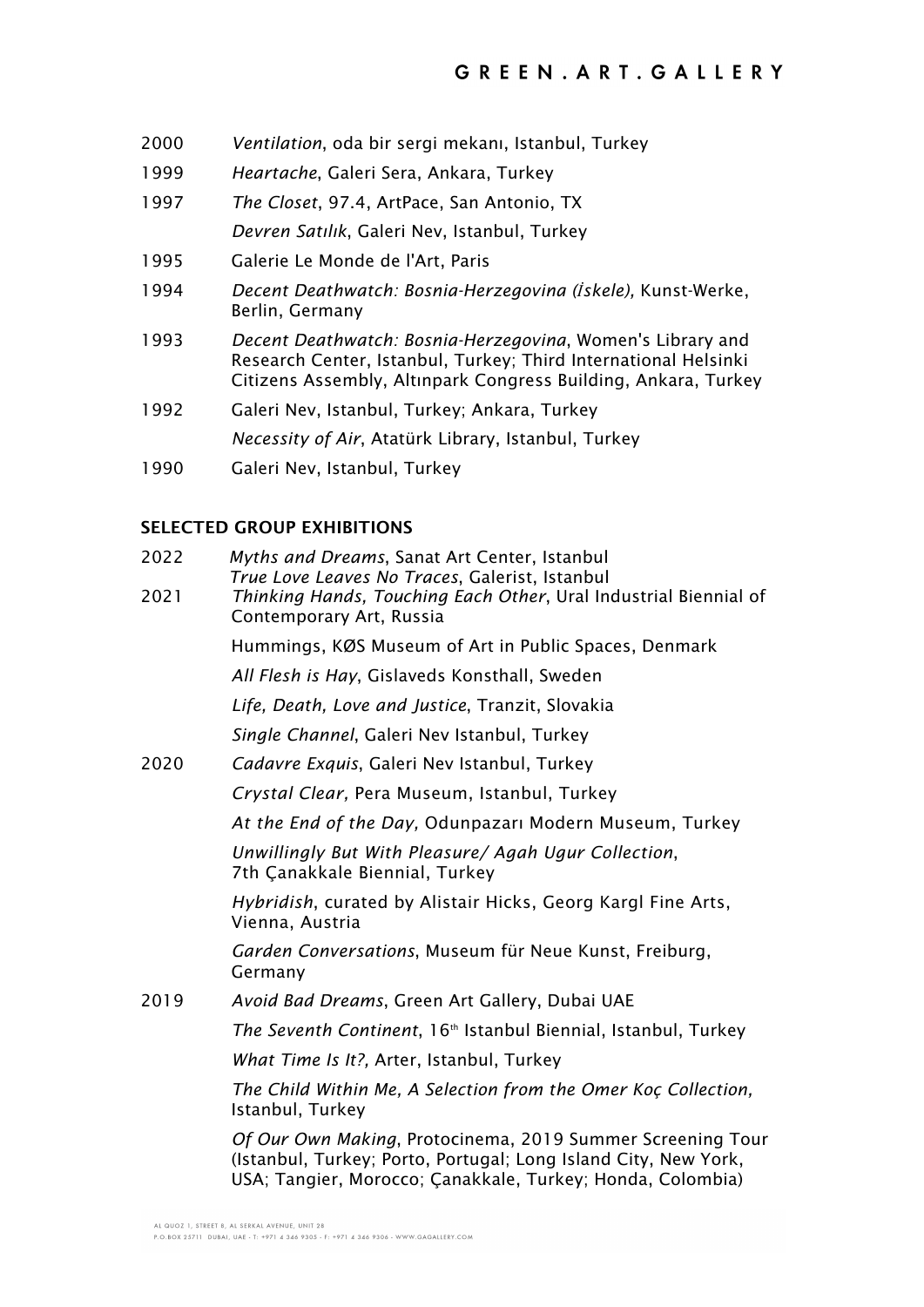- 2000 *Ventilation*, oda bir sergi mekanı, Istanbul, Turkey
- 1999 *Heartache*, Galeri Sera, Ankara, Turkey
- 1997 *The Closet*, 97.4, ArtPace, San Antonio, TX *Devren Satılık*, Galeri Nev, Istanbul, Turkey
- 1995 Galerie Le Monde de l'Art, Paris
- 1994 *Decent Deathwatch: Bosnia-Herzegovina (İskele),* Kunst-Werke, Berlin, Germany
- 1993 *Decent Deathwatch: Bosnia-Herzegovina*, Women's Library and Research Center, Istanbul, Turkey; Third International Helsinki Citizens Assembly, Altınpark Congress Building, Ankara, Turkey
- 1992 Galeri Nev, Istanbul, Turkey; Ankara, Turkey *Necessity of Air*, Atatürk Library, Istanbul, Turkey
- 1990 Galeri Nev, Istanbul, Turkey

## **SELECTED GROUP EXHIBITIONS**

- 2022 *Myths and Dreams*, Sanat Art Center, Istanbul *True Love Leaves No Traces*, Galerist, Istanbul
- 2021 *Thinking Hands, Touching Each Other*, Ural Industrial Biennial of Contemporary Art, Russia

Hummings, KØS Museum of Art in Public Spaces, Denmark

*All Flesh is Hay*, Gislaveds Konsthall, Sweden

*Life, Death, Love and Justice*, Tranzit, Slovakia

*Single Channel*, Galeri Nev Istanbul, Turkey

2020 *Cadavre Exquis*, Galeri Nev Istanbul, Turkey

*Crystal Clear,* Pera Museum, Istanbul, Turkey

*At the End of the Day,* Odunpazarı Modern Museum, Turkey

*Unwillingly But With Pleasure/ Agah Ugur Collection*, 7th Çanakkale Biennial, Turkey

*Hybridish*, curated by Alistair Hicks, Georg Kargl Fine Arts, Vienna, Austria

*Garden Conversations*, Museum für Neue Kunst, Freiburg, Germany

2019 *Avoid Bad Dreams*, Green Art Gallery, Dubai UAE

*The Seventh Continent*, 16<sup>th</sup> Istanbul Biennial, Istanbul, Turkey

*What Time Is It?,* Arter, Istanbul, Turkey

*The Child Within Me, A Selection from the Omer Koç Collection,*  Istanbul, Turkey

*Of Our Own Making*, Protocinema, 2019 Summer Screening Tour (Istanbul, Turkey; Porto, Portugal; Long Island City, New York, USA; Tangier, Morocco; Çanakkale, Turkey; Honda, Colombia)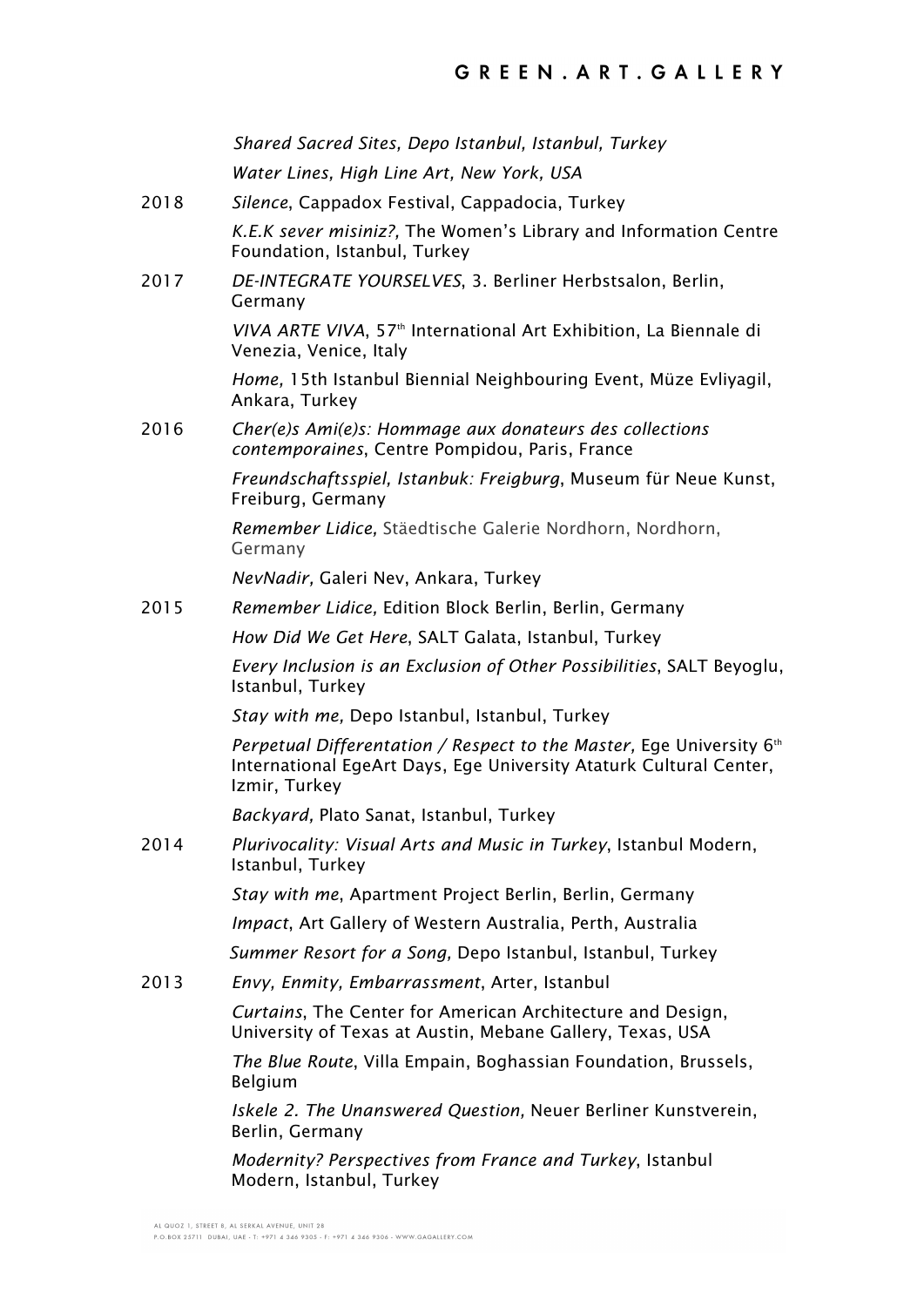|      | Shared Sacred Sites, Depo Istanbul, Istanbul, Turkey                                                                                                        |
|------|-------------------------------------------------------------------------------------------------------------------------------------------------------------|
|      | Water Lines, High Line Art, New York, USA                                                                                                                   |
| 2018 | Silence, Cappadox Festival, Cappadocia, Turkey                                                                                                              |
|      | K.E.K sever misiniz?, The Women's Library and Information Centre<br>Foundation, Istanbul, Turkey                                                            |
| 2017 | DE-INTEGRATE YOURSELVES, 3. Berliner Herbstsalon, Berlin,<br>Germany                                                                                        |
|      | VIVA ARTE VIVA, 57 <sup>th</sup> International Art Exhibition, La Biennale di<br>Venezia, Venice, Italy                                                     |
|      | Home, 15th Istanbul Biennial Neighbouring Event, Müze Evliyagil,<br>Ankara, Turkey                                                                          |
| 2016 | Cher(e)s Ami(e)s: Hommage aux donateurs des collections<br>contemporaines, Centre Pompidou, Paris, France                                                   |
|      | Freundschaftsspiel, Istanbuk: Freigburg, Museum für Neue Kunst,<br>Freiburg, Germany                                                                        |
|      | Remember Lidice, Stäedtische Galerie Nordhorn, Nordhorn,<br>Germany                                                                                         |
|      | NevNadir, Galeri Nev, Ankara, Turkey                                                                                                                        |
| 2015 | Remember Lidice, Edition Block Berlin, Berlin, Germany                                                                                                      |
|      | How Did We Get Here, SALT Galata, Istanbul, Turkey                                                                                                          |
|      | Every Inclusion is an Exclusion of Other Possibilities, SALT Beyoglu,<br>Istanbul, Turkey                                                                   |
|      | Stay with me, Depo Istanbul, Istanbul, Turkey                                                                                                               |
|      | Perpetual Differentation / Respect to the Master, Ege University 6th<br>International EgeArt Days, Ege University Ataturk Cultural Center,<br>Izmir, Turkey |
|      | Backyard, Plato Sanat, Istanbul, Turkey                                                                                                                     |
| 2014 | Plurivocality: Visual Arts and Music in Turkey, Istanbul Modern,<br>Istanbul, Turkey                                                                        |
|      | Stay with me, Apartment Project Berlin, Berlin, Germany                                                                                                     |
|      | <i>Impact</i> , Art Gallery of Western Australia, Perth, Australia                                                                                          |
|      | Summer Resort for a Song, Depo Istanbul, Istanbul, Turkey                                                                                                   |
| 2013 | Envy, Enmity, Embarrassment, Arter, Istanbul                                                                                                                |
|      | Curtains, The Center for American Architecture and Design,<br>University of Texas at Austin, Mebane Gallery, Texas, USA                                     |
|      | The Blue Route, Villa Empain, Boghassian Foundation, Brussels,<br>Belgium                                                                                   |
|      | <i>Iskele 2. The Unanswered Question, Neuer Berliner Kunstverein,</i><br>Berlin, Germany                                                                    |
|      | Modernity? Perspectives from France and Turkey, Istanbul<br>Modern, Istanbul, Turkey                                                                        |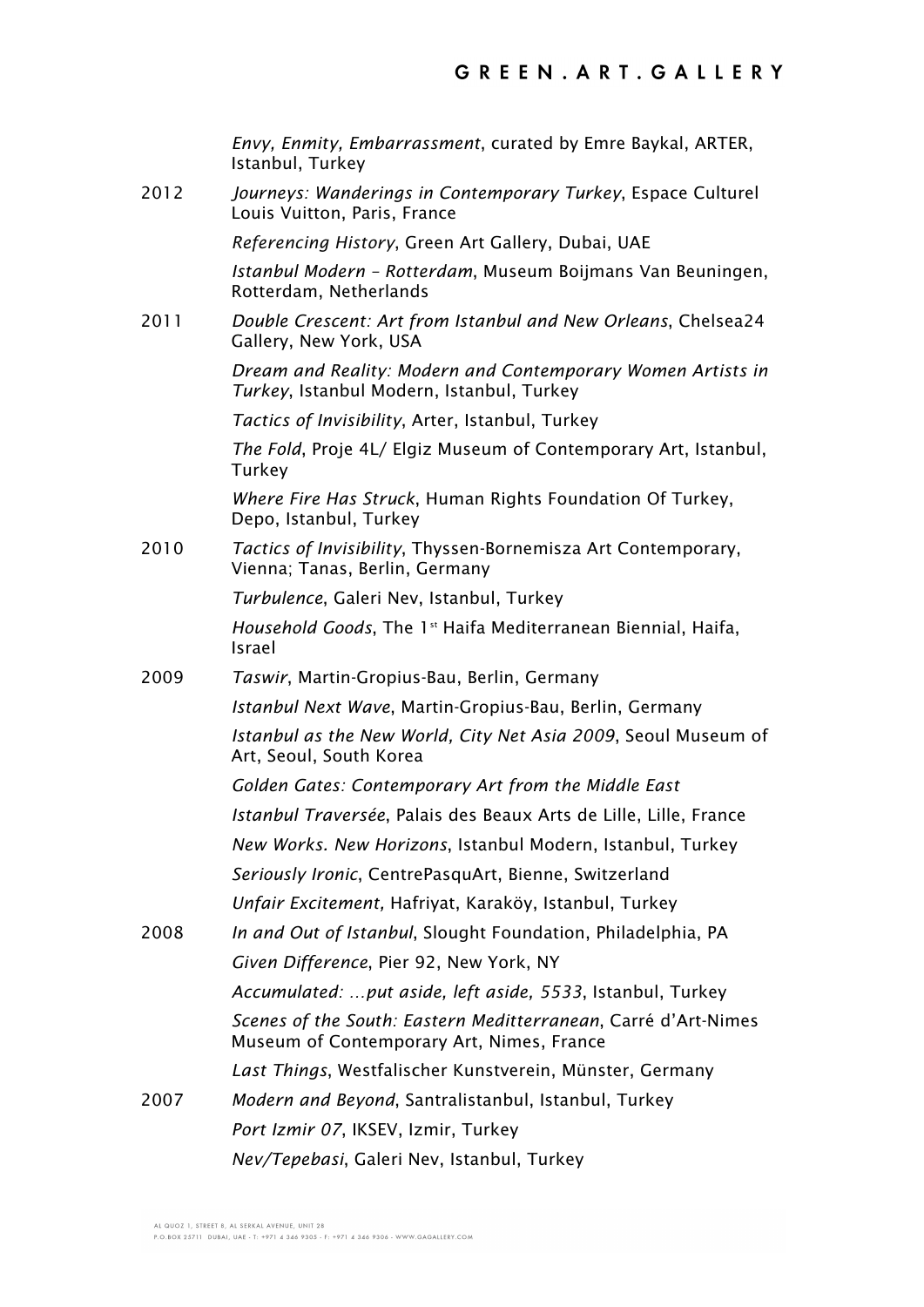*Envy, Enmity, Embarrassment*, curated by Emre Baykal, ARTER, Istanbul, Turkey 2012 *Journeys: Wanderings in Contemporary Turkey*, Espace Culturel Louis Vuitton, Paris, France *Referencing History*, Green Art Gallery, Dubai, UAE *Istanbul Modern – Rotterdam*, Museum Boijmans Van Beuningen, Rotterdam, Netherlands 2011 *Double Crescent: Art from Istanbul and New Orleans*, Chelsea24 Gallery, New York, USA *Dream and Reality: Modern and Contemporary Women Artists in Turkey*, Istanbul Modern, Istanbul, Turkey *Tactics of Invisibility*, Arter, Istanbul, Turkey *The Fold*, Proje 4L/ Elgiz Museum of Contemporary Art, Istanbul, **Turkey** *Where Fire Has Struck*, Human Rights Foundation Of Turkey, Depo, Istanbul, Turkey 2010 *Tactics of Invisibility*, Thyssen-Bornemisza Art Contemporary, Vienna; Tanas, Berlin, Germany *Turbulence*, Galeri Nev, Istanbul, Turkey *Household Goods*, The 1<sup>st</sup> Haifa Mediterranean Biennial, Haifa, Israel 2009 *Taswir*, Martin-Gropius-Bau, Berlin, Germany *Istanbul Next Wave*, Martin-Gropius-Bau, Berlin, Germany *Istanbul as the New World, City Net Asia 2009*, Seoul Museum of Art, Seoul, South Korea *Golden Gates: Contemporary Art from the Middle East Istanbul Traversée*, Palais des Beaux Arts de Lille, Lille, France *New Works. New Horizons*, Istanbul Modern, Istanbul, Turkey *Seriously Ironic*, CentrePasquArt, Bienne, Switzerland *Unfair Excitement,* Hafriyat, Karaköy, Istanbul, Turkey 2008 *In and Out of Istanbul*, Slought Foundation, Philadelphia, PA *Given Difference*, Pier 92, New York, NY *Accumulated: …put aside, left aside, 5533*, Istanbul, Turkey *Scenes of the South: Eastern Meditterranean*, Carré d'Art-Nimes Museum of Contemporary Art, Nimes, France *Last Things*, Westfalischer Kunstverein, Münster, Germany 2007 *Modern and Beyond*, Santralistanbul, Istanbul, Turkey *Port Izmir 07*, IKSEV, Izmir, Turkey *Nev/Tepebasi*, Galeri Nev, Istanbul, Turkey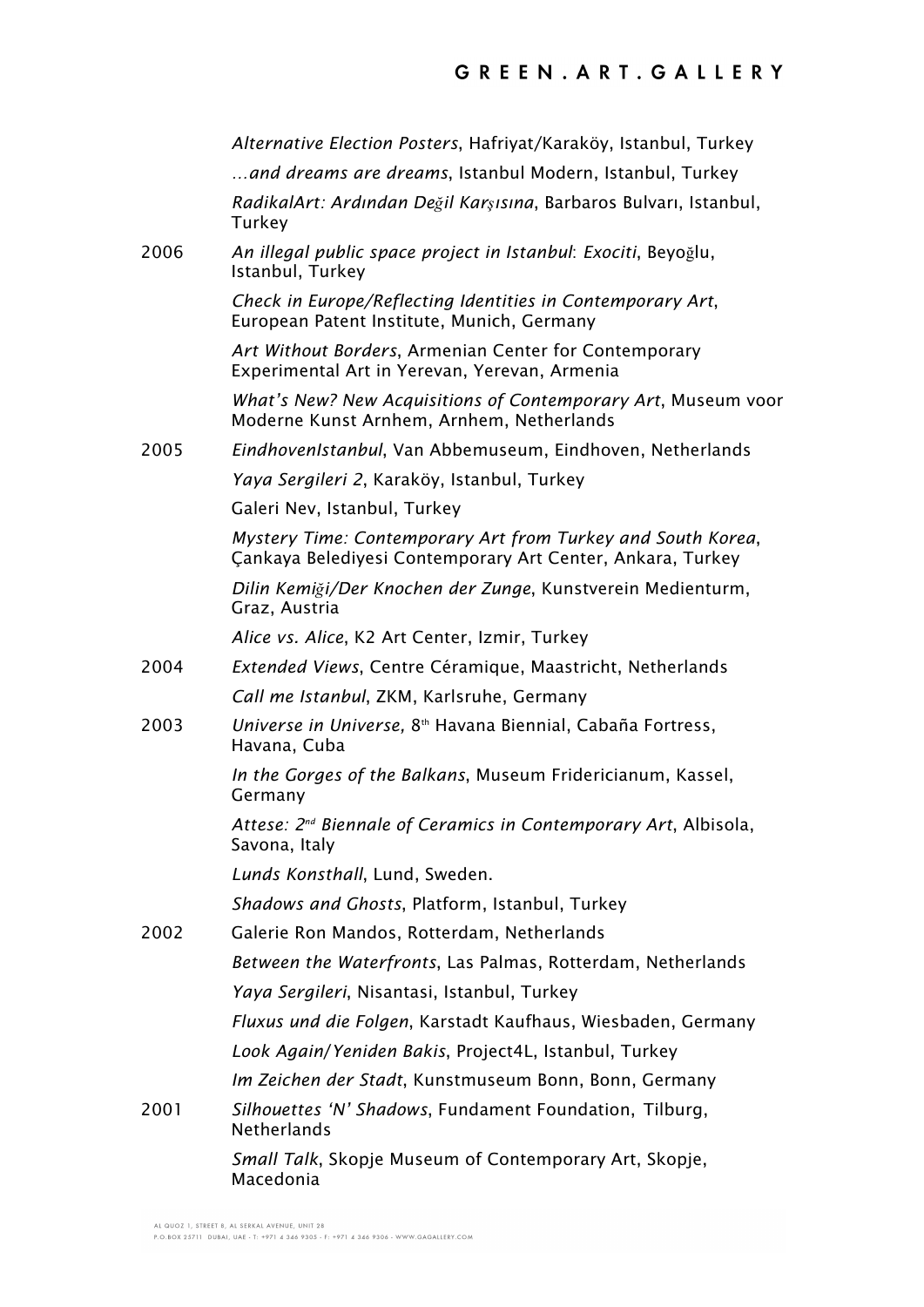|      | Alternative Election Posters, Hafriyat/Karaköy, Istanbul, Turkey                                                          |
|------|---------------------------------------------------------------------------------------------------------------------------|
|      | and dreams are dreams, Istanbul Modern, Istanbul, Turkey                                                                  |
|      | RadikalArt: Ardından Değil Karşısına, Barbaros Bulvarı, Istanbul,<br>Turkey                                               |
| 2006 | An illegal public space project in Istanbul: Exociti, Beyoğlu,<br>Istanbul, Turkey                                        |
|      | Check in Europe/Reflecting Identities in Contemporary Art,<br>European Patent Institute, Munich, Germany                  |
|      | Art Without Borders, Armenian Center for Contemporary<br>Experimental Art in Yerevan, Yerevan, Armenia                    |
|      | What's New? New Acquisitions of Contemporary Art, Museum voor<br>Moderne Kunst Arnhem, Arnhem, Netherlands                |
| 2005 | EindhovenIstanbul, Van Abbemuseum, Eindhoven, Netherlands                                                                 |
|      | Yaya Sergileri 2, Karaköy, Istanbul, Turkey                                                                               |
|      | Galeri Nev, Istanbul, Turkey                                                                                              |
|      | Mystery Time: Contemporary Art from Turkey and South Korea,<br>Cankaya Belediyesi Contemporary Art Center, Ankara, Turkey |
|      | Dilin Kemiği/Der Knochen der Zunge, Kunstverein Medienturm,<br>Graz, Austria                                              |
|      | Alice vs. Alice, K2 Art Center, Izmir, Turkey                                                                             |
| 2004 | Extended Views, Centre Céramique, Maastricht, Netherlands                                                                 |
|      | Call me Istanbul, ZKM, Karlsruhe, Germany                                                                                 |
| 2003 | Universe in Universe, 8 <sup>th</sup> Havana Biennial, Cabaña Fortress,<br>Havana, Cuba                                   |
|      | In the Gorges of the Balkans, Museum Fridericianum, Kassel,<br>Germany                                                    |
|      | Attese: 2 <sup>nd</sup> Biennale of Ceramics in Contemporary Art, Albisola,<br>Savona, Italy                              |
|      | Lunds Konsthall, Lund, Sweden.                                                                                            |
|      | Shadows and Ghosts, Platform, Istanbul, Turkey                                                                            |
| 2002 | Galerie Ron Mandos, Rotterdam, Netherlands                                                                                |
|      | Between the Waterfronts, Las Palmas, Rotterdam, Netherlands                                                               |
|      | Yaya Sergileri, Nisantasi, Istanbul, Turkey                                                                               |
|      | Fluxus und die Folgen, Karstadt Kaufhaus, Wiesbaden, Germany                                                              |
|      | Look Again/Yeniden Bakis, Project4L, Istanbul, Turkey                                                                     |
|      | Im Zeichen der Stadt, Kunstmuseum Bonn, Bonn, Germany                                                                     |
| 2001 | Silhouettes 'N' Shadows, Fundament Foundation, Tilburg,<br><b>Netherlands</b>                                             |
|      | Small Talk, Skopje Museum of Contemporary Art, Skopje,<br>Macedonia                                                       |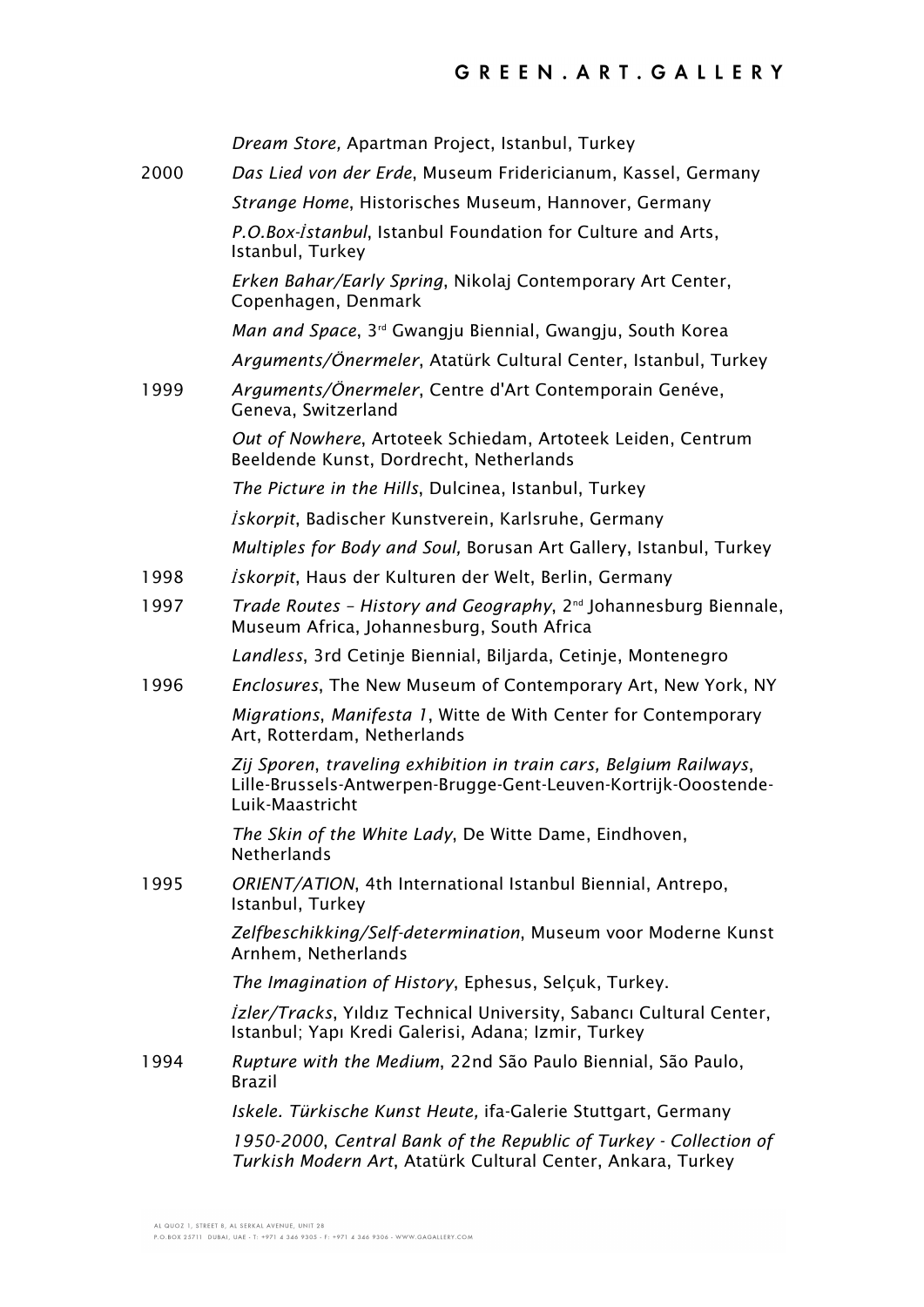|      | Dream Store, Apartman Project, Istanbul, Turkey                                                                                                         |
|------|---------------------------------------------------------------------------------------------------------------------------------------------------------|
| 2000 | Das Lied von der Erde, Museum Fridericianum, Kassel, Germany                                                                                            |
|      | Strange Home, Historisches Museum, Hannover, Germany                                                                                                    |
|      | P.O.Box-Istanbul, Istanbul Foundation for Culture and Arts,<br>Istanbul, Turkey                                                                         |
|      | Erken Bahar/Early Spring, Nikolaj Contemporary Art Center,<br>Copenhagen, Denmark                                                                       |
|      | Man and Space, 3 <sup>rd</sup> Gwangju Biennial, Gwangju, South Korea                                                                                   |
|      | Arguments/Önermeler, Atatürk Cultural Center, Istanbul, Turkey                                                                                          |
| 1999 | Arguments/Önermeler, Centre d'Art Contemporain Genéve,<br>Geneva, Switzerland                                                                           |
|      | Out of Nowhere, Artoteek Schiedam, Artoteek Leiden, Centrum<br>Beeldende Kunst, Dordrecht, Netherlands                                                  |
|      | The Picture in the Hills, Dulcinea, Istanbul, Turkey                                                                                                    |
|      | <i>İskorpit</i> , Badischer Kunstverein, Karlsruhe, Germany                                                                                             |
|      | Multiples for Body and Soul, Borusan Art Gallery, Istanbul, Turkey                                                                                      |
| 1998 | <i>İskorpit</i> , Haus der Kulturen der Welt, Berlin, Germany                                                                                           |
| 1997 | <i>Trade Routes - History and Geography</i> , 2 <sup>nd</sup> Johannesburg Biennale,<br>Museum Africa, Johannesburg, South Africa                       |
|      | Landless, 3rd Cetinje Biennial, Biljarda, Cetinje, Montenegro                                                                                           |
| 1996 | Enclosures, The New Museum of Contemporary Art, New York, NY                                                                                            |
|      | Migrations, Manifesta 1, Witte de With Center for Contemporary<br>Art, Rotterdam, Netherlands                                                           |
|      | Zij Sporen, traveling exhibition in train cars, Belgium Railways,<br>Lille-Brussels-Antwerpen-Brugge-Gent-Leuven-Kortrijk-Ooostende-<br>Luik-Maastricht |
|      | The Skin of the White Lady, De Witte Dame, Eindhoven,<br><b>Netherlands</b>                                                                             |
| 1995 | ORIENT/ATION, 4th International Istanbul Biennial, Antrepo,<br>Istanbul, Turkey                                                                         |
|      | Zelfbeschikking/Self-determination, Museum voor Moderne Kunst<br>Arnhem, Netherlands                                                                    |
|      | The Imagination of History, Ephesus, Selçuk, Turkey.                                                                                                    |
|      | <i>Izler/Tracks</i> , Yıldız Technical University, Sabancı Cultural Center,<br>Istanbul; Yapı Kredi Galerisi, Adana; Izmir, Turkey                      |
| 1994 | Rupture with the Medium, 22nd São Paulo Biennial, São Paulo,<br>Brazil                                                                                  |
|      | Iskele. Türkische Kunst Heute, ifa-Galerie Stuttgart, Germany                                                                                           |
|      | 1950-2000, Central Bank of the Republic of Turkey - Collection of<br>Turkish Modern Art, Atatürk Cultural Center, Ankara, Turkey                        |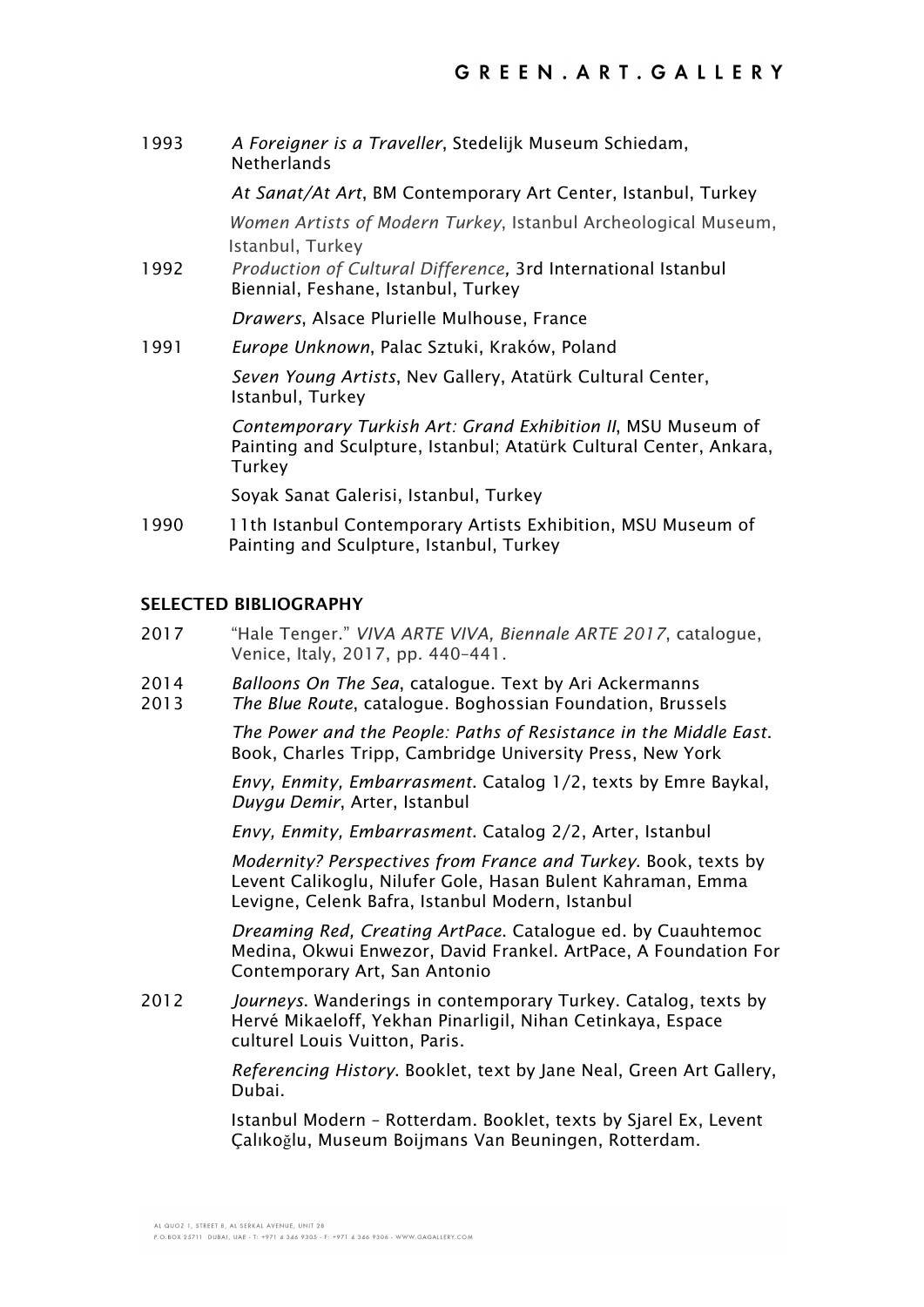1993 *A Foreigner is a Traveller*, Stedelijk Museum Schiedam, Netherlands

*At Sanat/At Art*, BM Contemporary Art Center, Istanbul, Turkey

*Women Artists of Modern Turkey*, Istanbul Archeological Museum, Istanbul, Turkey

1992 *Production of Cultural Difference,* 3rd International Istanbul Biennial, Feshane, Istanbul, Turkey

*Drawers*, Alsace Plurielle Mulhouse, France

1991 *Europe Unknown*, Palac Sztuki, Kraków, Poland

*Seven Young Artists*, Nev Gallery, Atatürk Cultural Center, Istanbul, Turkey

*Contemporary Turkish Art: Grand Exhibition II*, MSU Museum of Painting and Sculpture, Istanbul; Atatürk Cultural Center, Ankara, **Turkey** 

Soyak Sanat Galerisi, Istanbul, Turkey

1990 11th Istanbul Contemporary Artists Exhibition, MSU Museum of Painting and Sculpture, Istanbul, Turkey

### **SELECTED BIBLIOGRAPHY**

- 2017 "Hale Tenger." *VIVA ARTE VIVA, Biennale ARTE 2017*, catalogue, Venice, Italy, 2017, pp. 440–441.
- 2014 *Balloons On The Sea*, catalogue. Text by Ari Ackermanns
- 2013 *The Blue Route*, catalogue. Boghossian Foundation, Brussels

*The Power and the People: Paths of Resistance in the Middle East*. Book, Charles Tripp, Cambridge University Press, New York

*Envy, Enmity, Embarrasment*. Catalog 1/2, texts by Emre Baykal, *Duygu Demir*, Arter, Istanbul

*Envy, Enmity, Embarrasment*. Catalog 2/2, Arter, Istanbul

*Modernity? Perspectives from France and Turkey*. Book, texts by Levent Calikoglu, Nilufer Gole, Hasan Bulent Kahraman, Emma Levigne, Celenk Bafra, Istanbul Modern, Istanbul

*Dreaming Red, Creating ArtPace*. Catalogue ed. by Cuauhtemoc Medina, Okwui Enwezor, David Frankel. ArtPace, A Foundation For Contemporary Art, San Antonio

2012 *Journeys*. Wanderings in contemporary Turkey. Catalog, texts by Hervé Mikaeloff, Yekhan Pinarligil, Nihan Cetinkaya, Espace culturel Louis Vuitton, Paris.

> *Referencing History*. Booklet, text by Jane Neal, Green Art Gallery, Dubai.

Istanbul Modern – Rotterdam. Booklet, texts by Sjarel Ex, Levent Çalıkoğlu, Museum Boijmans Van Beuningen, Rotterdam.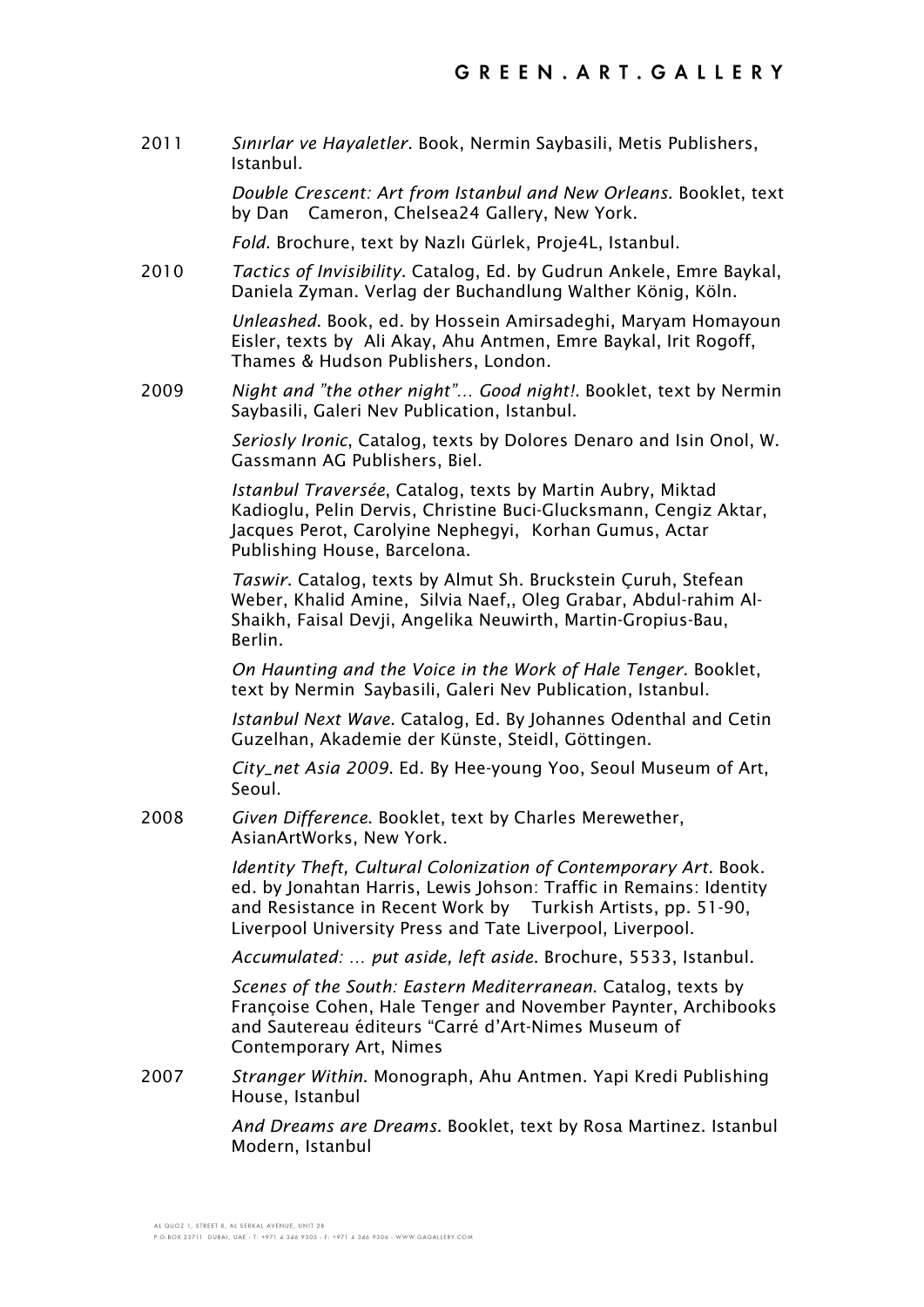2011 *Sınırlar ve Hayaletler*. Book, Nermin Saybasili, Metis Publishers, Istanbul.

> *Double Crescent: Art from Istanbul and New Orleans*. Booklet, text by Dan Cameron, Chelsea24 Gallery, New York.

*Fold*. Brochure, text by Nazlı Gürlek, Proje4L, Istanbul.

2010 *Tactics of Invisibility*. Catalog, Ed. by Gudrun Ankele, Emre Baykal, Daniela Zyman. Verlag der Buchandlung Walther König, Köln.

> *Unleashed*. Book, ed. by Hossein Amirsadeghi, Maryam Homayoun Eisler, texts by Ali Akay, Ahu Antmen, Emre Baykal, Irit Rogoff, Thames & Hudson Publishers, London.

2009 *Night and "the other night"… Good night!.* Booklet, text by Nermin Saybasili, Galeri Nev Publication, Istanbul.

> *Seriosly Ironic*, Catalog, texts by Dolores Denaro and Isin Onol, W. Gassmann AG Publishers, Biel.

*Istanbul Traversée*, Catalog, texts by Martin Aubry, Miktad Kadioglu, Pelin Dervis, Christine Buci-Glucksmann, Cengiz Aktar, Jacques Perot, Carolyine Nephegyi, Korhan Gumus, Actar Publishing House, Barcelona.

*Taswir*. Catalog, texts by Almut Sh. Bruckstein Çuruh, Stefean Weber, Khalid Amine, Silvia Naef,, Oleg Grabar, Abdul-rahim Al-Shaikh, Faisal Devji, Angelika Neuwirth, Martin-Gropius-Bau, Berlin.

*On Haunting and the Voice in the Work of Hale Tenger*. Booklet, text by Nermin Saybasili, Galeri Nev Publication, Istanbul.

*Istanbul Next Wave*. Catalog, Ed. By Johannes Odenthal and Cetin Guzelhan, Akademie der Künste, Steidl, Göttingen.

*City\_net Asia 2009*. Ed. By Hee-young Yoo, Seoul Museum of Art, Seoul.

2008 *Given Difference*. Booklet, text by Charles Merewether, AsianArtWorks, New York.

> *Identity Theft, Cultural Colonization of Contemporary Art*. Book. ed. by Jonahtan Harris, Lewis Johson: Traffic in Remains: Identity and Resistance in Recent Work by Turkish Artists, pp. 51-90, Liverpool University Press and Tate Liverpool, Liverpool.

*Accumulated: … put aside, left aside*. Brochure, 5533, Istanbul.

*Scenes of the South: Eastern Mediterranean*. Catalog, texts by Françoise Cohen, Hale Tenger and November Paynter, Archibooks and Sautereau éditeurs "Carré d'Art-Nimes Museum of Contemporary Art, Nimes

2007 *Stranger Within*. Monograph, Ahu Antmen. Yapi Kredi Publishing House, Istanbul

> *And Dreams are Dreams*. Booklet, text by Rosa Martinez. Istanbul Modern, Istanbul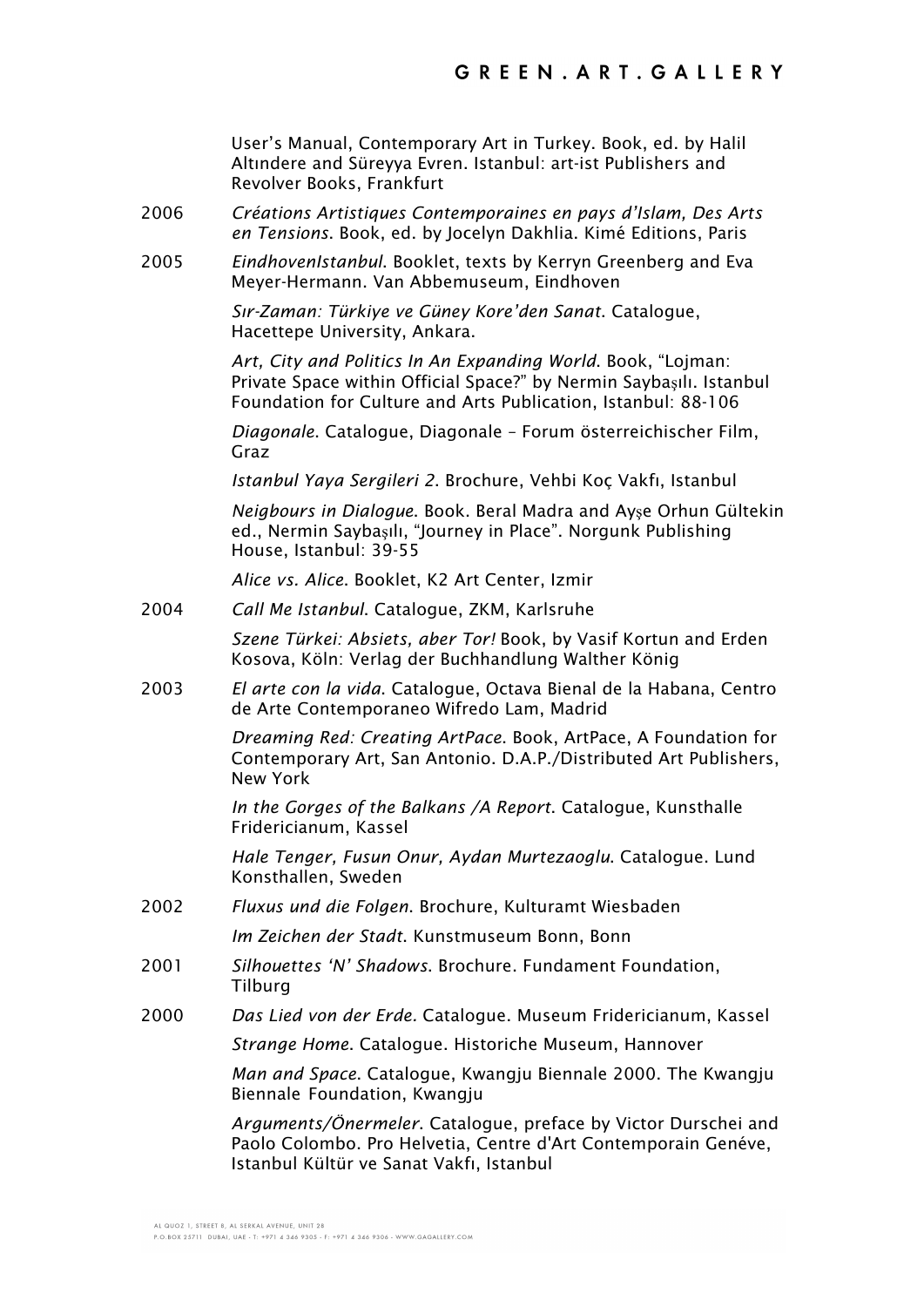User's Manual, Contemporary Art in Turkey. Book, ed. by Halil Altındere and Süreyya Evren. Istanbul: art-ist Publishers and Revolver Books, Frankfurt

- 2006 *Créations Artistiques Contemporaines en pays d'Islam, Des Arts en Tensions*. Book, ed. by Jocelyn Dakhlia. Kimé Editions, Paris
- 2005 *EindhovenIstanbul*. Booklet, texts by Kerryn Greenberg and Eva Meyer-Hermann. Van Abbemuseum, Eindhoven

*Sır-Zaman: Türkiye ve Güney Kore'den Sanat*. Catalogue, Hacettepe University, Ankara.

*Art, City and Politics In An Expanding World*. Book, "Lojman: Private Space within Official Space?" by Nermin Saybaşılı. Istanbul Foundation for Culture and Arts Publication, Istanbul: 88-106

*Diagonale*. Catalogue, Diagonale – Forum österreichischer Film, Graz

*Istanbul Yaya Sergileri 2*. Brochure, Vehbi Koç Vakfı, Istanbul

*Neigbours in Dialogue*. Book. Beral Madra and Ayşe Orhun Gültekin ed., Nermin Saybaşılı, "Journey in Place". Norgunk Publishing House, Istanbul: 39-55

*Alice vs. Alice*. Booklet, K2 Art Center, Izmir

2004 *Call Me Istanbul*. Catalogue, ZKM, Karlsruhe

*Szene Türkei: Absiets, aber Tor!* Book, by Vasif Kortun and Erden Kosova, Köln: Verlag der Buchhandlung Walther König

2003 *El arte con la vida*. Catalogue, Octava Bienal de la Habana, Centro de Arte Contemporaneo Wifredo Lam, Madrid

> *Dreaming Red: Creating ArtPace*. Book, ArtPace, A Foundation for Contemporary Art, San Antonio. D.A.P./Distributed Art Publishers, New York

*In the Gorges of the Balkans /A Report*. Catalogue, Kunsthalle Fridericianum, Kassel

*Hale Tenger, Fusun Onur, Aydan Murtezaoglu*. Catalogue. Lund Konsthallen, Sweden

2002 *Fluxus und die Folgen*. Brochure, Kulturamt Wiesbaden

*Im Zeichen der Stadt*. Kunstmuseum Bonn, Bonn

- 2001 *Silhouettes 'N' Shadows*. Brochure. Fundament Foundation, **Tilburg**
- 2000 *Das Lied von der Erde.* Catalogue. Museum Fridericianum, Kassel

*Strange Home*. Catalogue. Historiche Museum, Hannover

*Man and Space*. Catalogue, Kwangju Biennale 2000. The Kwangju Biennale Foundation, Kwangju

*Arguments/Önermeler*. Catalogue, preface by Victor Durschei and Paolo Colombo. Pro Helvetia, Centre d'Art Contemporain Genéve, Istanbul Kültür ve Sanat Vakfı, Istanbul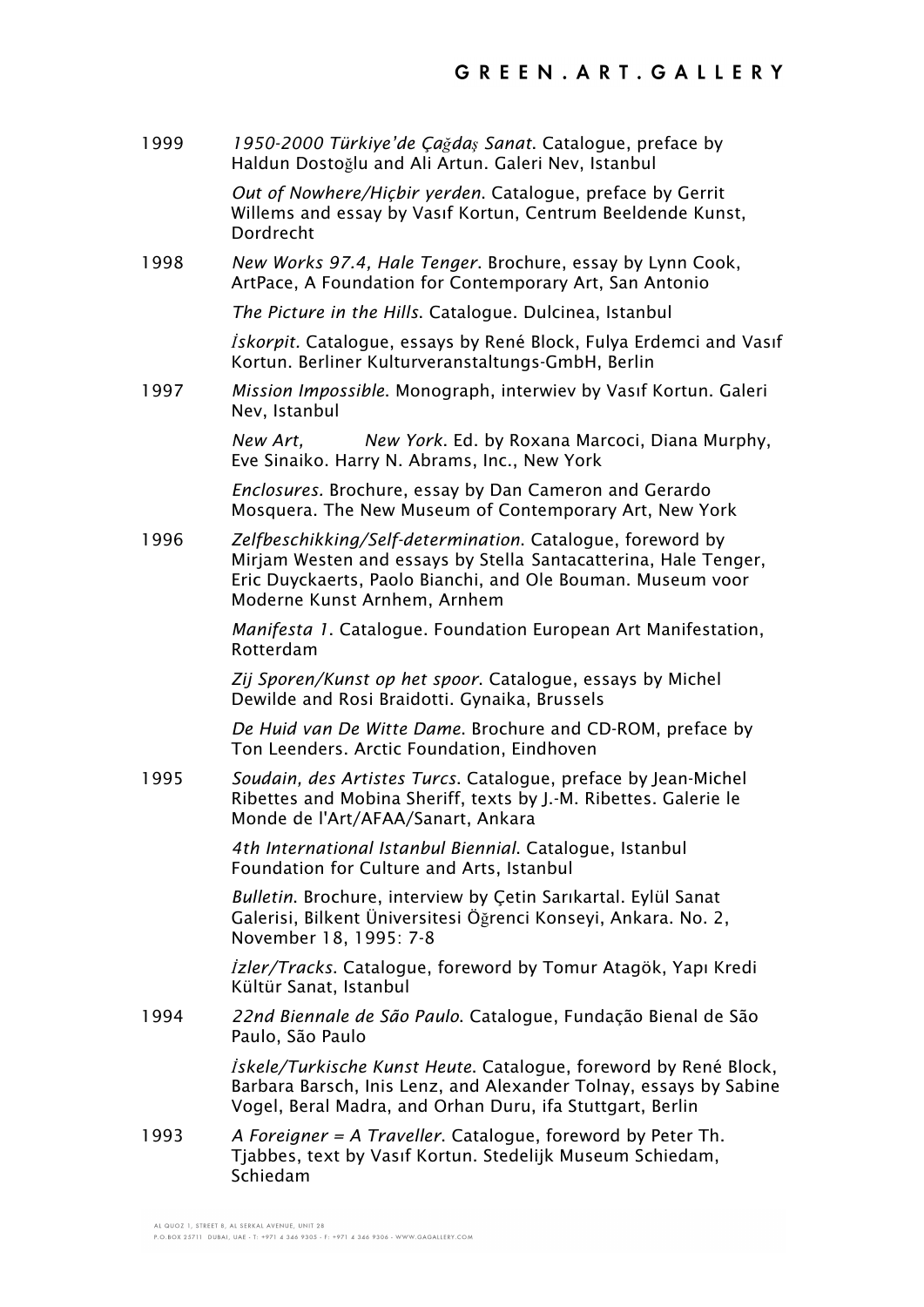1999 *1950-2000 Türkiye'de Çağdaş Sanat*. Catalogue, preface by Haldun Dostoğlu and Ali Artun. Galeri Nev, Istanbul

> *Out of Nowhere/Hiçbir yerden*. Catalogue, preface by Gerrit Willems and essay by Vasıf Kortun, Centrum Beeldende Kunst, Dordrecht

1998 *New Works 97.4, Hale Tenger*. Brochure, essay by Lynn Cook, ArtPace, A Foundation for Contemporary Art, San Antonio

*The Picture in the Hills*. Catalogue. Dulcinea, Istanbul

*İskorpit.* Catalogue, essays by René Block, Fulya Erdemci and Vasıf Kortun. Berliner Kulturveranstaltungs-GmbH, Berlin

1997 *Mission Impossible*. Monograph, interwiev by Vasıf Kortun. Galeri Nev, Istanbul

> *New Art, New York*. Ed. by Roxana Marcoci, Diana Murphy, Eve Sinaiko. Harry N. Abrams, Inc., New York

*Enclosures.* Brochure, essay by Dan Cameron and Gerardo Mosquera. The New Museum of Contemporary Art, New York

1996 *Zelfbeschikking/Self-determination*. Catalogue, foreword by Mirjam Westen and essays by Stella Santacatterina, Hale Tenger, Eric Duyckaerts, Paolo Bianchi, and Ole Bouman. Museum voor Moderne Kunst Arnhem, Arnhem

> *Manifesta 1*. Catalogue. Foundation European Art Manifestation, Rotterdam

*Zij Sporen/Kunst op het spoor*. Catalogue, essays by Michel Dewilde and Rosi Braidotti. Gynaika, Brussels

*De Huid van De Witte Dame*. Brochure and CD-ROM, preface by Ton Leenders. Arctic Foundation, Eindhoven

1995 *Soudain, des Artistes Turcs*. Catalogue, preface by Jean-Michel Ribettes and Mobina Sheriff, texts by J.-M. Ribettes. Galerie le Monde de l'Art/AFAA/Sanart, Ankara

> *4th International Istanbul Biennial*. Catalogue, Istanbul Foundation for Culture and Arts, Istanbul

*Bulletin*. Brochure, interview by Çetin Sarıkartal. Eylül Sanat Galerisi, Bilkent Üniversitesi Öğrenci Konseyi, Ankara. No. 2, November 18, 1995: 7-8

*İzler/Tracks*. Catalogue, foreword by Tomur Atagök, Yapı Kredi Kültür Sanat, Istanbul

1994 *22nd Biennale de São Paulo*. Catalogue, Fundação Bienal de São Paulo, São Paulo

> *İskele/Turkische Kunst Heute*. Catalogue, foreword by René Block, Barbara Barsch, Inis Lenz, and Alexander Tolnay, essays by Sabine Vogel, Beral Madra, and Orhan Duru, ifa Stuttgart, Berlin

1993 *A Foreigner = A Traveller*. Catalogue, foreword by Peter Th. Tjabbes, text by Vasıf Kortun. Stedelijk Museum Schiedam, Schiedam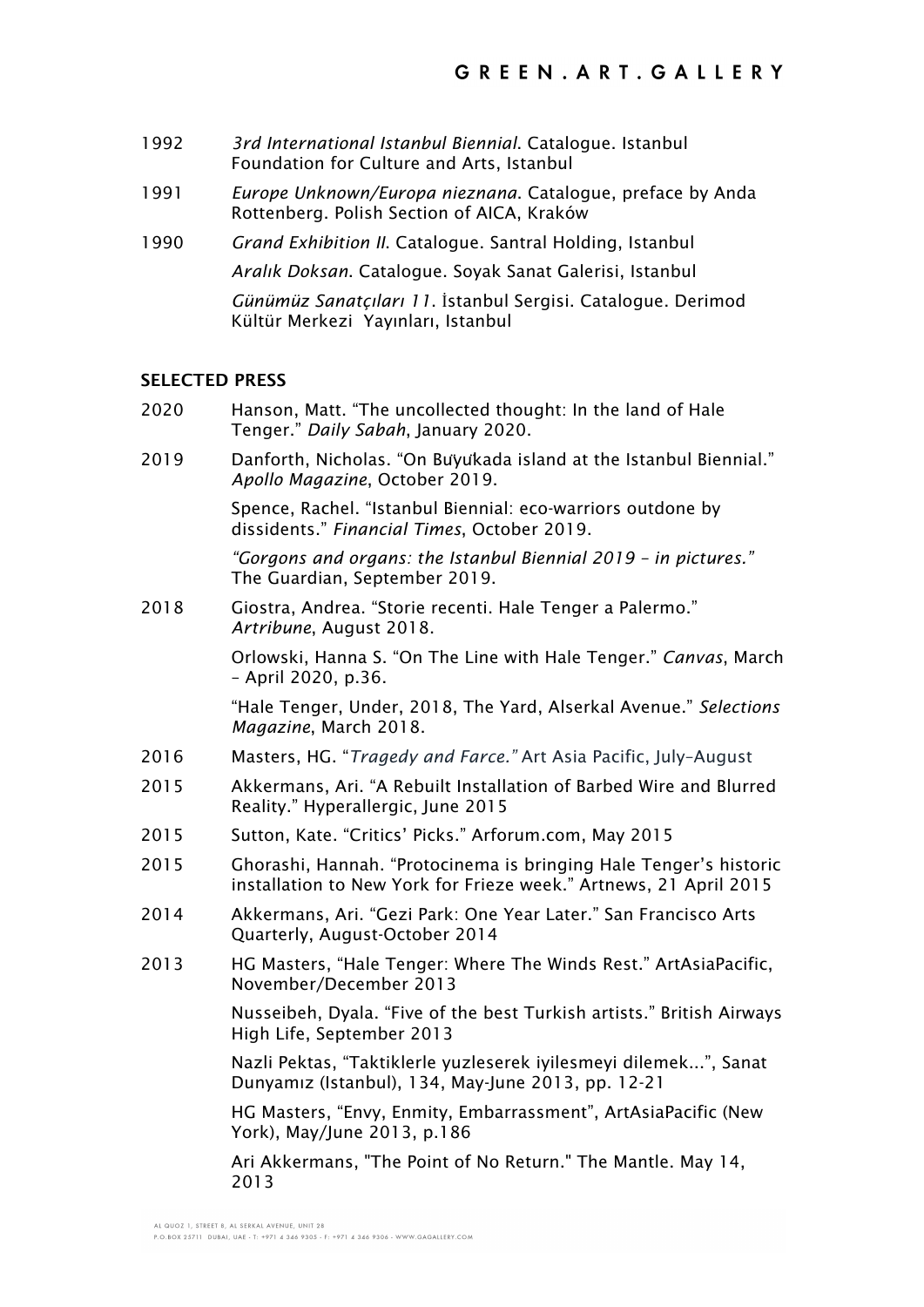- 1992 *3rd International Istanbul Biennial*. Catalogue. Istanbul Foundation for Culture and Arts, Istanbul
- 1991 *Europe Unknown/Europa nieznana*. Catalogue, preface by Anda Rottenberg. Polish Section of AICA, Kraków
- 1990 *Grand Exhibition II*. Catalogue. Santral Holding, Istanbul *Aralık Doksan*. Catalogue. Soyak Sanat Galerisi, Istanbul

*Günümüz Sanatçıları 11*. İstanbul Sergisi. Catalogue. Derimod Kültür Merkezi Yayınları, Istanbul

#### **SELECTED PRESS**

- 2020 Hanson, Matt. "The uncollected thought: In the land of Hale Tenger." *Daily Sabah*, January 2020.
- 2019 Danforth, Nicholas. "On Buyukada island at the Istanbul Biennial." *Apollo Magazine*, October 2019.

Spence, Rachel. "Istanbul Biennial: eco-warriors outdone by dissidents." *Financial Times*, October 2019.

*"Gorgons and organs: the Istanbul Biennial 2019 – in pictures."* The Guardian, September 2019.

2018 Giostra, Andrea. "Storie recenti. Hale Tenger a Palermo." *Artribune*, August 2018.

> Orlowski, Hanna S. "On The Line with Hale Tenger." *Canvas*, March – April 2020, p.36.

"Hale Tenger, Under, 2018, The Yard, Alserkal Avenue." *Selections Magazine*, March 2018.

- 2016 Masters, HG. "*Tragedy and Farce."* Art Asia Pacific, July–August
- 2015 Akkermans, Ari. "A Rebuilt Installation of Barbed Wire and Blurred Reality." Hyperallergic, June 2015
- 2015 Sutton, Kate. "Critics' Picks." Arforum.com, May 2015
- 2015 Ghorashi, Hannah. "Protocinema is bringing Hale Tenger's historic installation to New York for Frieze week." Artnews, 21 April 2015
- 2014 Akkermans, Ari. "Gezi Park: One Year Later." San Francisco Arts Quarterly, August-October 2014
- 2013 HG Masters, "Hale Tenger: Where The Winds Rest." ArtAsiaPacific, November/December 2013

Nusseibeh, Dyala. "Five of the best Turkish artists." British Airways High Life, September 2013

Nazli Pektas, "Taktiklerle yuzleserek iyilesmeyi dilemek...", Sanat Dunyamız (Istanbul), 134, May-June 2013, pp. 12-21

HG Masters, "Envy, Enmity, Embarrassment", ArtAsiaPacific (New York), May/June 2013, p.186

Ari Akkermans, "The Point of No Return." The Mantle. May 14, 2013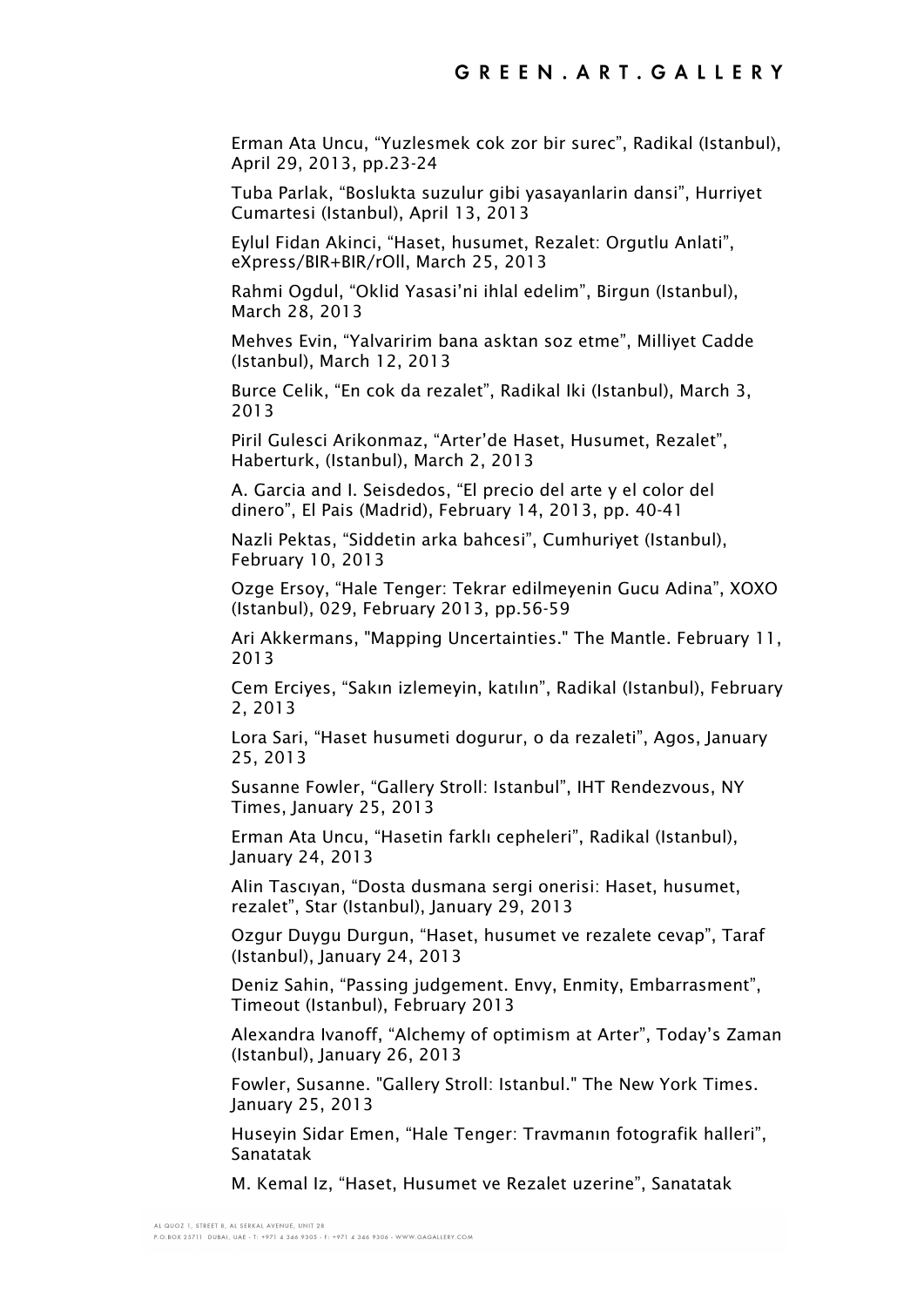Erman Ata Uncu, "Yuzlesmek cok zor bir surec", Radikal (Istanbul), April 29, 2013, pp.23-24

Tuba Parlak, "Boslukta suzulur gibi yasayanlarin dansi", Hurriyet Cumartesi (Istanbul), April 13, 2013

Eylul Fidan Akinci, "Haset, husumet, Rezalet: Orgutlu Anlati", eXpress/BIR+BIR/rOll, March 25, 2013

Rahmi Ogdul, "Oklid Yasasi'ni ihlal edelim", Birgun (Istanbul), March 28, 2013

Mehves Evin, "Yalvaririm bana asktan soz etme", Milliyet Cadde (Istanbul), March 12, 2013

Burce Celik, "En cok da rezalet", Radikal Iki (Istanbul), March 3, 2013

Piril Gulesci Arikonmaz, "Arter'de Haset, Husumet, Rezalet", Haberturk, (Istanbul), March 2, 2013

A. Garcia and I. Seisdedos, "El precio del arte y el color del dinero", El Pais (Madrid), February 14, 2013, pp. 40-41

Nazli Pektas, "Siddetin arka bahcesi", Cumhuriyet (Istanbul), February 10, 2013

Ozge Ersoy, "Hale Tenger: Tekrar edilmeyenin Gucu Adina", XOXO (Istanbul), 029, February 2013, pp.56-59

Ari Akkermans, "Mapping Uncertainties." The Mantle. February 11, 2013

Cem Erciyes, "Sakın izlemeyin, katılın", Radikal (Istanbul), February 2, 2013

Lora Sari, "Haset husumeti dogurur, o da rezaleti", Agos, January 25, 2013

Susanne Fowler, "Gallery Stroll: Istanbul", IHT Rendezvous, NY Times, January 25, 2013

Erman Ata Uncu, "Hasetin farklı cepheleri", Radikal (Istanbul), January 24, 2013

Alin Tascıyan, "Dosta dusmana sergi onerisi: Haset, husumet, rezalet", Star (Istanbul), January 29, 2013

Ozgur Duygu Durgun, "Haset, husumet ve rezalete cevap", Taraf (Istanbul), January 24, 2013

Deniz Sahin, "Passing judgement. Envy, Enmity, Embarrasment", Timeout (Istanbul), February 2013

Alexandra Ivanoff, "Alchemy of optimism at Arter", Today's Zaman (Istanbul), January 26, 2013

Fowler, Susanne. "Gallery Stroll: Istanbul." The New York Times. January 25, 2013

Huseyin Sidar Emen, "Hale Tenger: Travmanın fotografik halleri", Sanatatak

M. Kemal Iz, "Haset, Husumet ve Rezalet uzerine", Sanatatak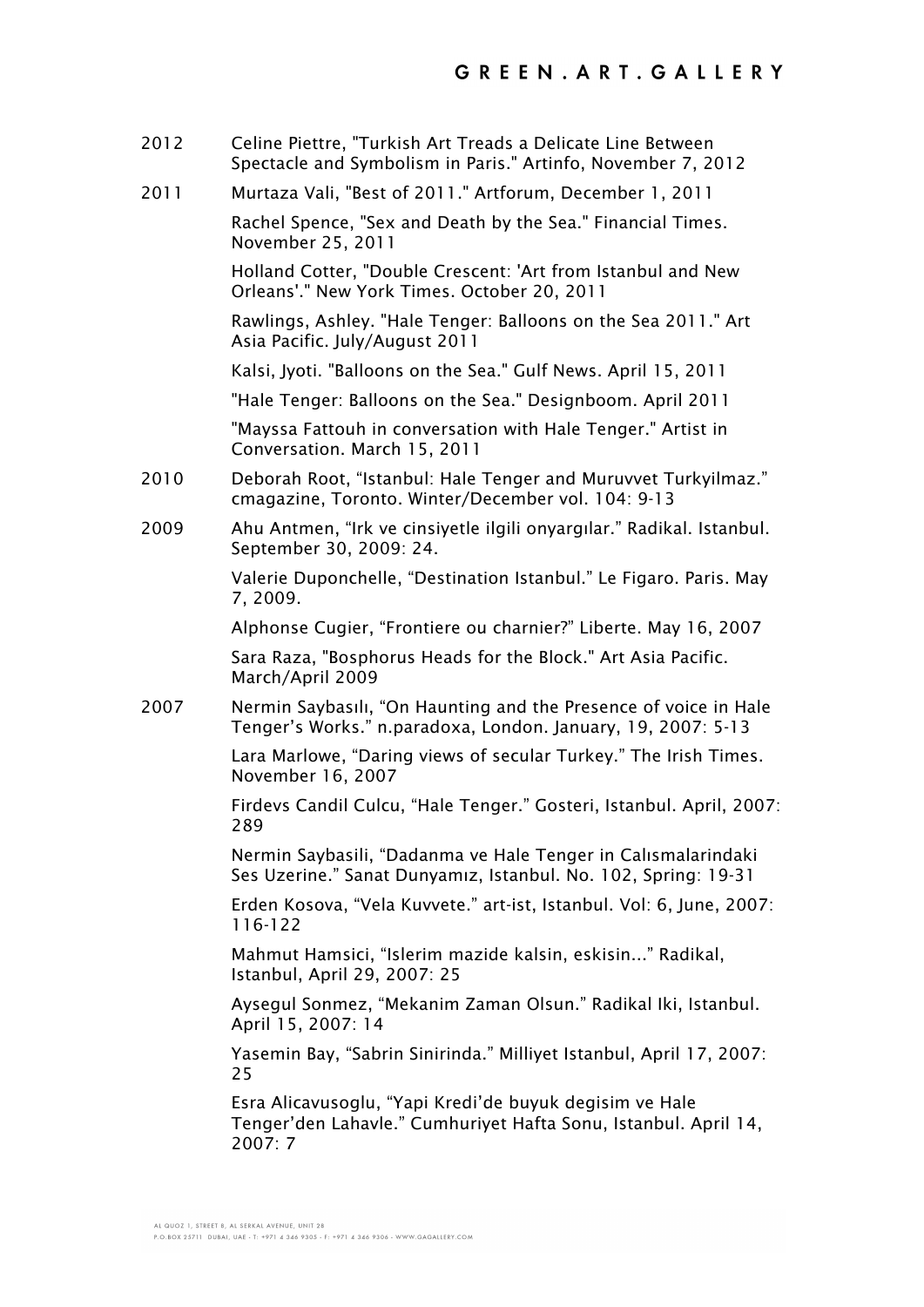- 2012 Celine Piettre, "Turkish Art Treads a Delicate Line Between Spectacle and Symbolism in Paris." Artinfo, November 7, 2012
- 2011 Murtaza Vali, "Best of 2011." Artforum, December 1, 2011

Rachel Spence, "Sex and Death by the Sea." Financial Times. November 25, 2011

Holland Cotter, "Double Crescent: 'Art from Istanbul and New Orleans'." New York Times. October 20, 2011

Rawlings, Ashley. "Hale Tenger: Balloons on the Sea 2011." Art Asia Pacific. July/August 2011

Kalsi, Jyoti. "Balloons on the Sea." Gulf News. April 15, 2011

"Hale Tenger: Balloons on the Sea." Designboom. April 2011

"Mayssa Fattouh in conversation with Hale Tenger." Artist in Conversation. March 15, 2011

- 2010 Deborah Root, "Istanbul: Hale Tenger and Muruvvet Turkyilmaz." cmagazine, Toronto. Winter/December vol. 104: 9-13
- 2009 Ahu Antmen, "Irk ve cinsiyetle ilgili onyargılar." Radikal. Istanbul. September 30, 2009: 24.

Valerie Duponchelle, "Destination Istanbul." Le Figaro. Paris. May 7, 2009.

Alphonse Cugier, "Frontiere ou charnier?" Liberte. May 16, 2007

Sara Raza, "Bosphorus Heads for the Block." Art Asia Pacific. March/April 2009

2007 Nermin Saybasılı, "On Haunting and the Presence of voice in Hale Tenger's Works." n.paradoxa, London. January, 19, 2007: 5-13

> Lara Marlowe, "Daring views of secular Turkey." The Irish Times. November 16, 2007

Firdevs Candil Culcu, "Hale Tenger." Gosteri, Istanbul. April, 2007: 289

Nermin Saybasili, "Dadanma ve Hale Tenger in Calısmalarindaki Ses Uzerine." Sanat Dunyamız, Istanbul. No. 102, Spring: 19-31

Erden Kosova, "Vela Kuvvete." art-ist, Istanbul. Vol: 6, June, 2007: 116-122

Mahmut Hamsici, "Islerim mazide kalsin, eskisin..." Radikal, Istanbul, April 29, 2007: 25

Aysegul Sonmez, "Mekanim Zaman Olsun." Radikal Iki, Istanbul. April 15, 2007: 14

Yasemin Bay, "Sabrin Sinirinda." Milliyet Istanbul, April 17, 2007: 25

Esra Alicavusoglu, "Yapi Kredi'de buyuk degisim ve Hale Tenger'den Lahavle." Cumhuriyet Hafta Sonu, Istanbul. April 14, 2007: 7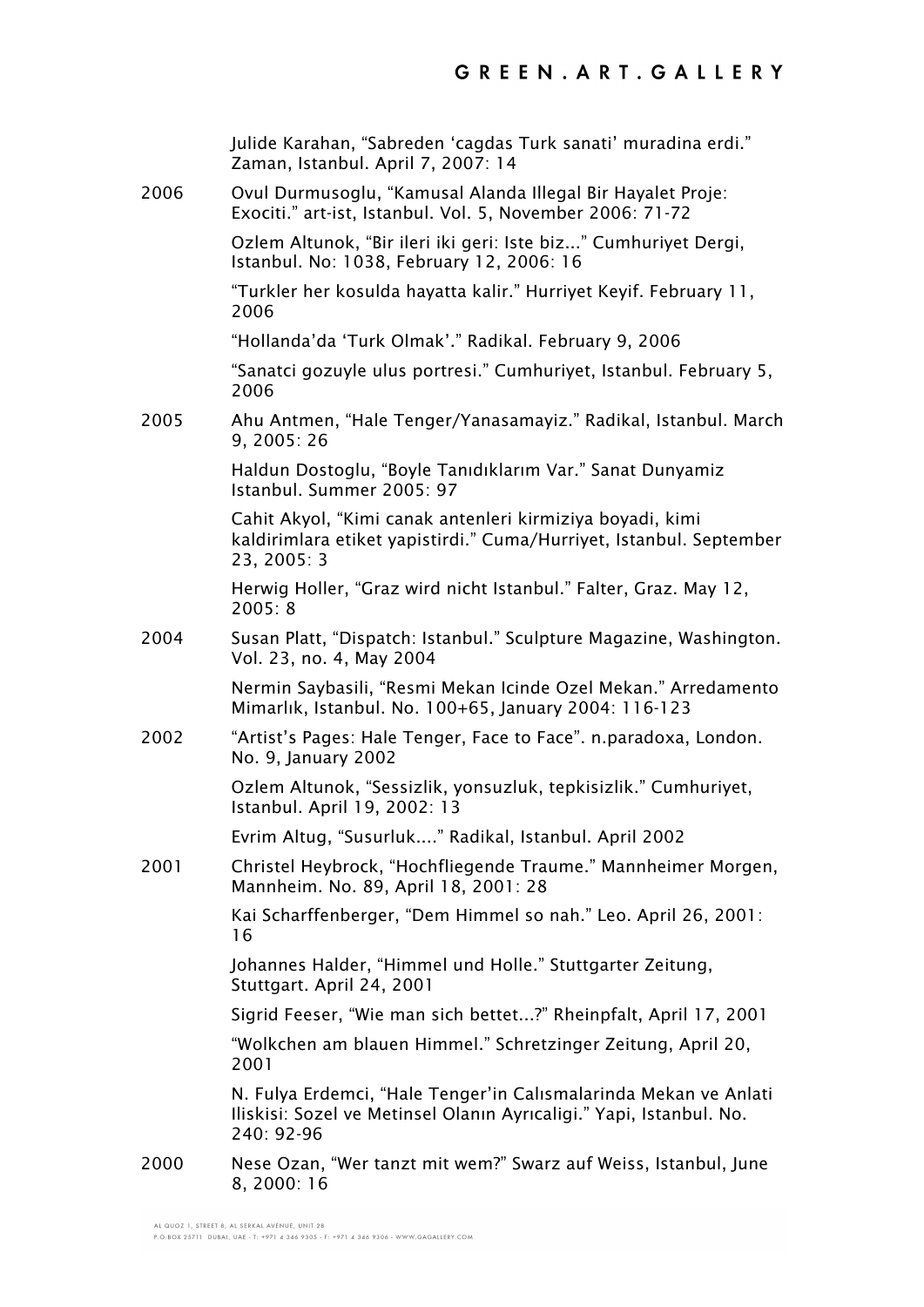|      | Julide Karahan, "Sabreden 'cagdas Turk sanati' muradina erdi."<br>Zaman, Istanbul. April 7, 2007: 14                                                  |
|------|-------------------------------------------------------------------------------------------------------------------------------------------------------|
| 2006 | Ovul Durmusoglu, "Kamusal Alanda Illegal Bir Hayalet Proje:<br>Exociti." art-ist, Istanbul. Vol. 5, November 2006: 71-72                              |
|      | Ozlem Altunok, "Bir ileri iki geri: Iste biz" Cumhuriyet Dergi,<br>Istanbul. No: 1038, February 12, 2006: 16                                          |
|      | "Turkler her kosulda hayatta kalir." Hurriyet Keyif. February 11,<br>2006                                                                             |
|      | "Hollanda'da 'Turk Olmak'." Radikal. February 9, 2006                                                                                                 |
|      | "Sanatci gozuyle ulus portresi." Cumhuriyet, Istanbul. February 5,<br>2006                                                                            |
| 2005 | Ahu Antmen, "Hale Tenger/Yanasamayiz." Radikal, Istanbul. March<br>9, 2005: 26                                                                        |
|      | Haldun Dostoglu, "Boyle Tanıdıklarım Var." Sanat Dunyamiz<br>Istanbul. Summer 2005: 97                                                                |
|      | Cahit Akyol, "Kimi canak antenleri kirmiziya boyadi, kimi<br>kaldirimlara etiket yapistirdi." Cuma/Hurriyet, Istanbul. September<br>23, 2005: 3       |
|      | Herwig Holler, "Graz wird nicht Istanbul." Falter, Graz. May 12,<br>2005:8                                                                            |
| 2004 | Susan Platt, "Dispatch: Istanbul." Sculpture Magazine, Washington.<br>Vol. 23, no. 4, May 2004                                                        |
|      | Nermin Saybasili, "Resmi Mekan Icinde Ozel Mekan." Arredamento<br>Mimarlık, Istanbul. No. 100+65, January 2004: 116-123                               |
| 2002 | "Artist's Pages: Hale Tenger, Face to Face". n.paradoxa, London.<br>No. 9, January 2002                                                               |
|      | Ozlem Altunok, "Sessizlik, yonsuzluk, tepkisizlik." Cumhuriyet,<br>Istanbul. April 19, 2002: 13                                                       |
|      | Evrim Altug, "Susurluk" Radikal, Istanbul. April 2002                                                                                                 |
| 2001 | Christel Heybrock, "Hochfliegende Traume." Mannheimer Morgen,<br>Mannheim. No. 89, April 18, 2001: 28                                                 |
|      | Kai Scharffenberger, "Dem Himmel so nah." Leo. April 26, 2001:<br>16                                                                                  |
|      | Johannes Halder, "Himmel und Holle." Stuttgarter Zeitung,<br>Stuttgart. April 24, 2001                                                                |
|      | Sigrid Feeser, "Wie man sich bettet?" Rheinpfalt, April 17, 2001                                                                                      |
|      | "Wolkchen am blauen Himmel." Schretzinger Zeitung, April 20,<br>2001                                                                                  |
|      | N. Fulya Erdemci, "Hale Tenger'in Calismalarinda Mekan ve Anlati<br>Iliskisi: Sozel ve Metinsel Olanın Ayrıcaligi." Yapi, Istanbul. No.<br>240: 92-96 |
| 2000 | Nese Ozan, "Wer tanzt mit wem?" Swarz auf Weiss, Istanbul, June<br>8, 2000: 16                                                                        |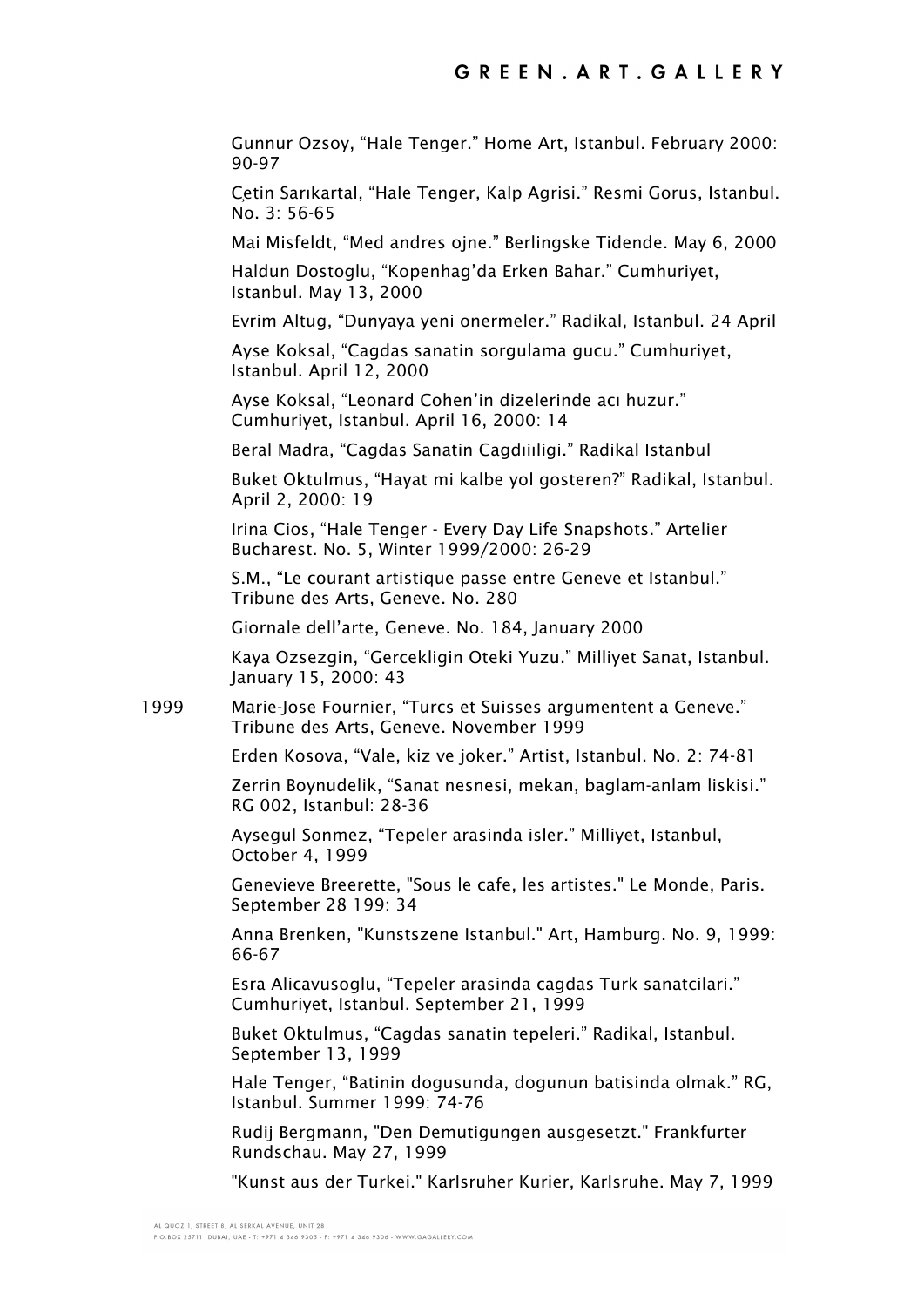Gunnur Ozsoy, "Hale Tenger." Home Art, Istanbul. February 2000: 90-97

Çetin Sarıkartal, "Hale Tenger, Kalp Agrisi." Resmi Gorus, Istanbul. No. 3: 56-65

Mai Misfeldt, "Med andres ojne." Berlingske Tidende. May 6, 2000

Haldun Dostoglu, "Kopenhag'da Erken Bahar." Cumhuriyet, Istanbul. May 13, 2000

Evrim Altug, "Dunyaya yeni onermeler." Radikal, Istanbul. 24 April

Ayse Koksal, "Cagdas sanatin sorgulama gucu." Cumhuriyet, Istanbul. April 12, 2000

Ayse Koksal, "Leonard Cohen'in dizelerinde acı huzur." Cumhuriyet, Istanbul. April 16, 2000: 14

Beral Madra, "Cagdas Sanatin Cagdıiıligi." Radikal Istanbul

Buket Oktulmus, "Hayat mi kalbe yol gosteren?" Radikal, Istanbul. April 2, 2000: 19

Irina Cios, "Hale Tenger - Every Day Life Snapshots." Artelier Bucharest. No. 5, Winter 1999/2000: 26-29

S.M., "Le courant artistique passe entre Geneve et Istanbul." Tribune des Arts, Geneve. No. 280

Giornale dell'arte, Geneve. No. 184, January 2000

Kaya Ozsezgin, "Gercekligin Oteki Yuzu." Milliyet Sanat, Istanbul. January 15, 2000: 43

1999 Marie-Jose Fournier, "Turcs et Suisses argumentent a Geneve." Tribune des Arts, Geneve. November 1999

Erden Kosova, "Vale, kiz ve joker." Artist, Istanbul. No. 2: 74-81

Zerrin Boynudelik, "Sanat nesnesi, mekan, baglam-anlam liskisi." RG 002, Istanbul: 28-36

Aysegul Sonmez, "Tepeler arasinda isler." Milliyet, Istanbul, October 4, 1999

Genevieve Breerette, "Sous le cafe, les artistes." Le Monde, Paris. September 28 199: 34

Anna Brenken, "Kunstszene Istanbul." Art, Hamburg. No. 9, 1999: 66-67

Esra Alicavusoglu, "Tepeler arasinda cagdas Turk sanatcilari." Cumhuriyet, Istanbul. September 21, 1999

Buket Oktulmus, "Cagdas sanatin tepeleri." Radikal, Istanbul. September 13, 1999

Hale Tenger, "Batinin dogusunda, dogunun batisinda olmak." RG, Istanbul. Summer 1999: 74-76

Rudij Bergmann, "Den Demutigungen ausgesetzt." Frankfurter Rundschau. May 27, 1999

"Kunst aus der Turkei." Karlsruher Kurier, Karlsruhe. May 7, 1999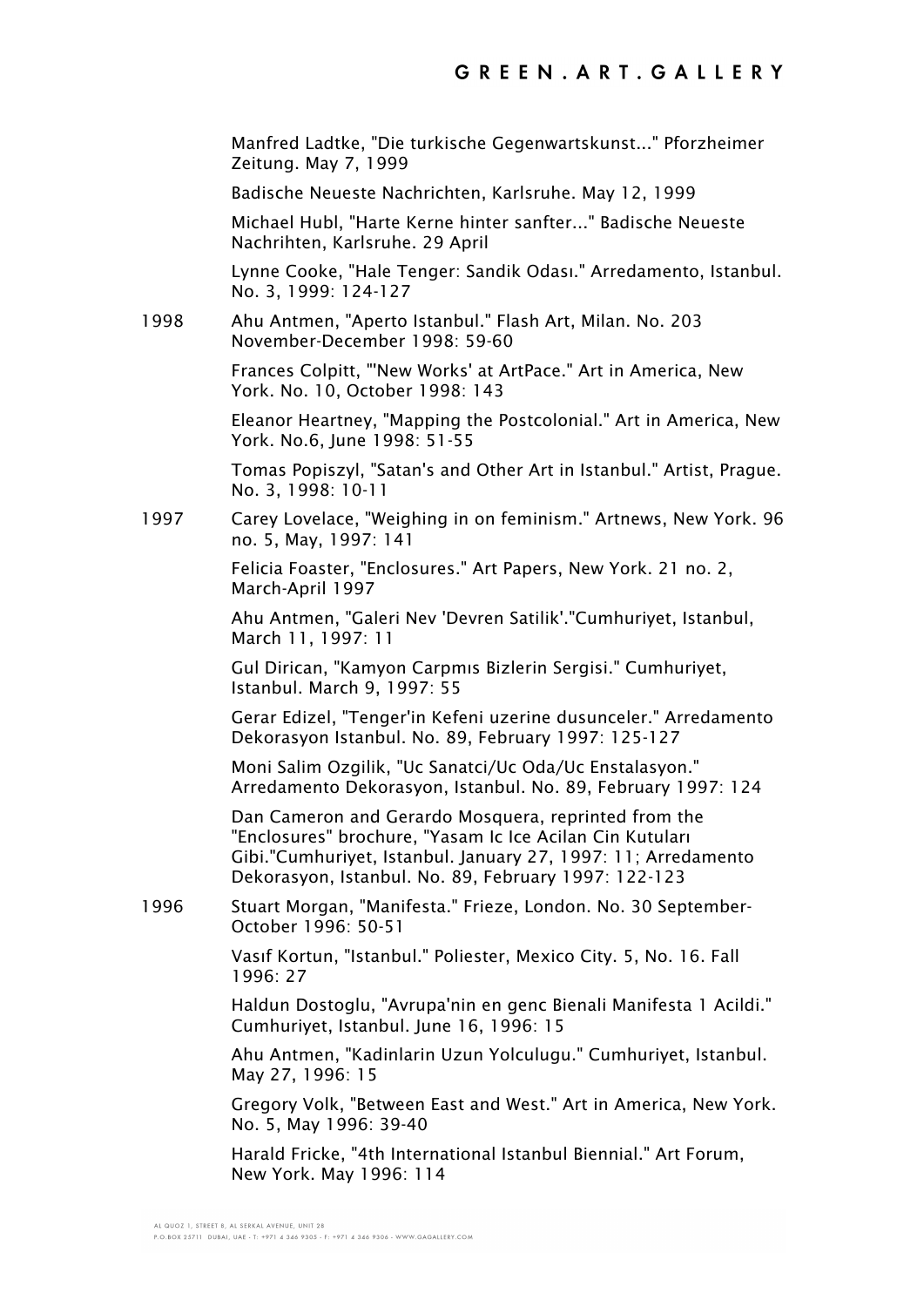Manfred Ladtke, "Die turkische Gegenwartskunst..." Pforzheimer Zeitung. May 7, 1999

Badische Neueste Nachrichten, Karlsruhe. May 12, 1999

Michael Hubl, "Harte Kerne hinter sanfter..." Badische Neueste Nachrihten, Karlsruhe. 29 April

Lynne Cooke, "Hale Tenger: Sandik Odası." Arredamento, Istanbul. No. 3, 1999: 124-127

1998 Ahu Antmen, "Aperto Istanbul." Flash Art, Milan. No. 203 November-December 1998: 59-60

> Frances Colpitt, "'New Works' at ArtPace." Art in America, New York. No. 10, October 1998: 143

Eleanor Heartney, "Mapping the Postcolonial." Art in America, New York. No.6, June 1998: 51-55

Tomas Popiszyl, "Satan's and Other Art in Istanbul." Artist, Prague. No. 3, 1998: 10-11

1997 Carey Lovelace, "Weighing in on feminism." Artnews, New York. 96 no. 5, May, 1997: 141

> Felicia Foaster, "Enclosures." Art Papers, New York. 21 no. 2, March-April 1997

Ahu Antmen, "Galeri Nev 'Devren Satilik'."Cumhuriyet, Istanbul, March 11, 1997: 11

Gul Dirican, "Kamyon Carpmıs Bizlerin Sergisi." Cumhuriyet, Istanbul. March 9, 1997: 55

Gerar Edizel, "Tenger'in Kefeni uzerine dusunceler." Arredamento Dekorasyon Istanbul. No. 89, February 1997: 125-127

Moni Salim Ozgilik, "Uc Sanatci/Uc Oda/Uc Enstalasyon." Arredamento Dekorasyon, Istanbul. No. 89, February 1997: 124

Dan Cameron and Gerardo Mosquera, reprinted from the "Enclosures" brochure, "Yasam Ic Ice Acilan Cin Kutuları Gibi."Cumhuriyet, Istanbul. January 27, 1997: 11; Arredamento Dekorasyon, Istanbul. No. 89, February 1997: 122-123

1996 Stuart Morgan, "Manifesta." Frieze, London. No. 30 September-October 1996: 50-51

> Vasıf Kortun, "Istanbul." Poliester, Mexico City. 5, No. 16. Fall 1996: 27

Haldun Dostoglu, "Avrupa'nin en genc Bienali Manifesta 1 Acildi." Cumhuriyet, Istanbul. June 16, 1996: 15

Ahu Antmen, "Kadinlarin Uzun Yolculugu." Cumhuriyet, Istanbul. May 27, 1996: 15

Gregory Volk, "Between East and West." Art in America, New York. No. 5, May 1996: 39-40

Harald Fricke, "4th International Istanbul Biennial." Art Forum, New York. May 1996: 114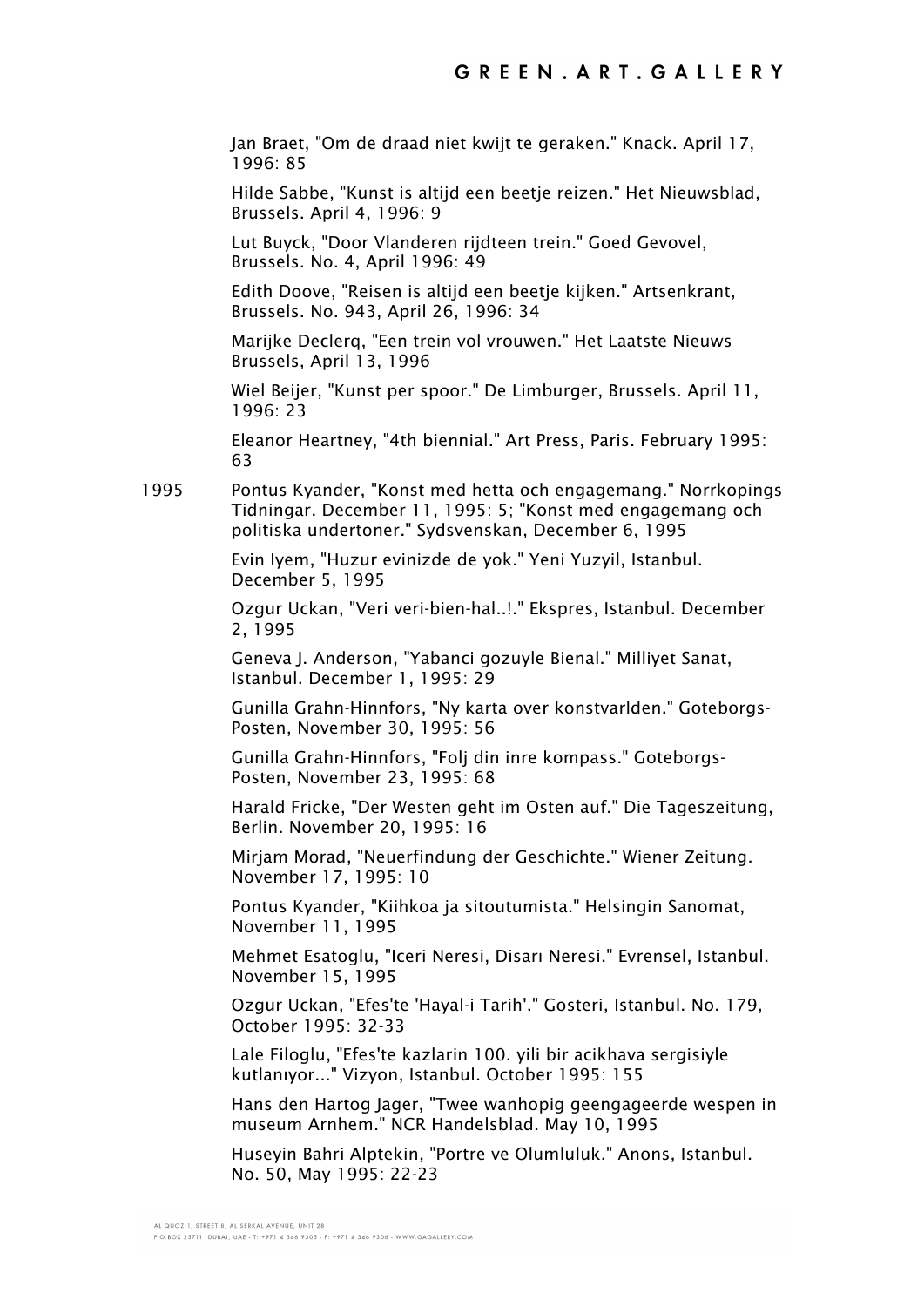Jan Braet, "Om de draad niet kwijt te geraken." Knack. April 17, 1996: 85

Hilde Sabbe, "Kunst is altijd een beetje reizen." Het Nieuwsblad, Brussels. April 4, 1996: 9

Lut Buyck, "Door Vlanderen rijdteen trein." Goed Gevovel, Brussels. No. 4, April 1996: 49

Edith Doove, "Reisen is altijd een beetje kijken." Artsenkrant, Brussels. No. 943, April 26, 1996: 34

Marijke Declerq, "Een trein vol vrouwen." Het Laatste Nieuws Brussels, April 13, 1996

Wiel Beijer, "Kunst per spoor." De Limburger, Brussels. April 11, 1996: 23

Eleanor Heartney, "4th biennial." Art Press, Paris. February 1995: 63

1995 Pontus Kyander, "Konst med hetta och engagemang." Norrkopings Tidningar. December 11, 1995: 5; "Konst med engagemang och politiska undertoner." Sydsvenskan, December 6, 1995

> Evin Iyem, "Huzur evinizde de yok." Yeni Yuzyil, Istanbul. December 5, 1995

Ozgur Uckan, "Veri veri-bien-hal..!." Ekspres, Istanbul. December 2, 1995

Geneva J. Anderson, "Yabanci gozuyle Bienal." Milliyet Sanat, Istanbul. December 1, 1995: 29

Gunilla Grahn-Hinnfors, "Ny karta over konstvarlden." Goteborgs-Posten, November 30, 1995: 56

Gunilla Grahn-Hinnfors, "Folj din inre kompass." Goteborgs-Posten, November 23, 1995: 68

Harald Fricke, "Der Westen geht im Osten auf." Die Tageszeitung, Berlin. November 20, 1995: 16

Mirjam Morad, "Neuerfindung der Geschichte." Wiener Zeitung. November 17, 1995: 10

Pontus Kyander, "Kiihkoa ja sitoutumista." Helsingin Sanomat, November 11, 1995

Mehmet Esatoglu, "Iceri Neresi, Disarı Neresi." Evrensel, Istanbul. November 15, 1995

Ozgur Uckan, "Efes'te 'Hayal-i Tarih'." Gosteri, Istanbul. No. 179, October 1995: 32-33

Lale Filoglu, "Efes'te kazlarin 100. yili bir acikhava sergisiyle kutlanıyor..." Vizyon, Istanbul. October 1995: 155

Hans den Hartog Jager, "Twee wanhopig geengageerde wespen in museum Arnhem." NCR Handelsblad. May 10, 1995

Huseyin Bahri Alptekin, "Portre ve Olumluluk." Anons, Istanbul. No. 50, May 1995: 22-23

AL QUOZ 1, STREET 8, AL SERKAL AVENUE, UNIT 28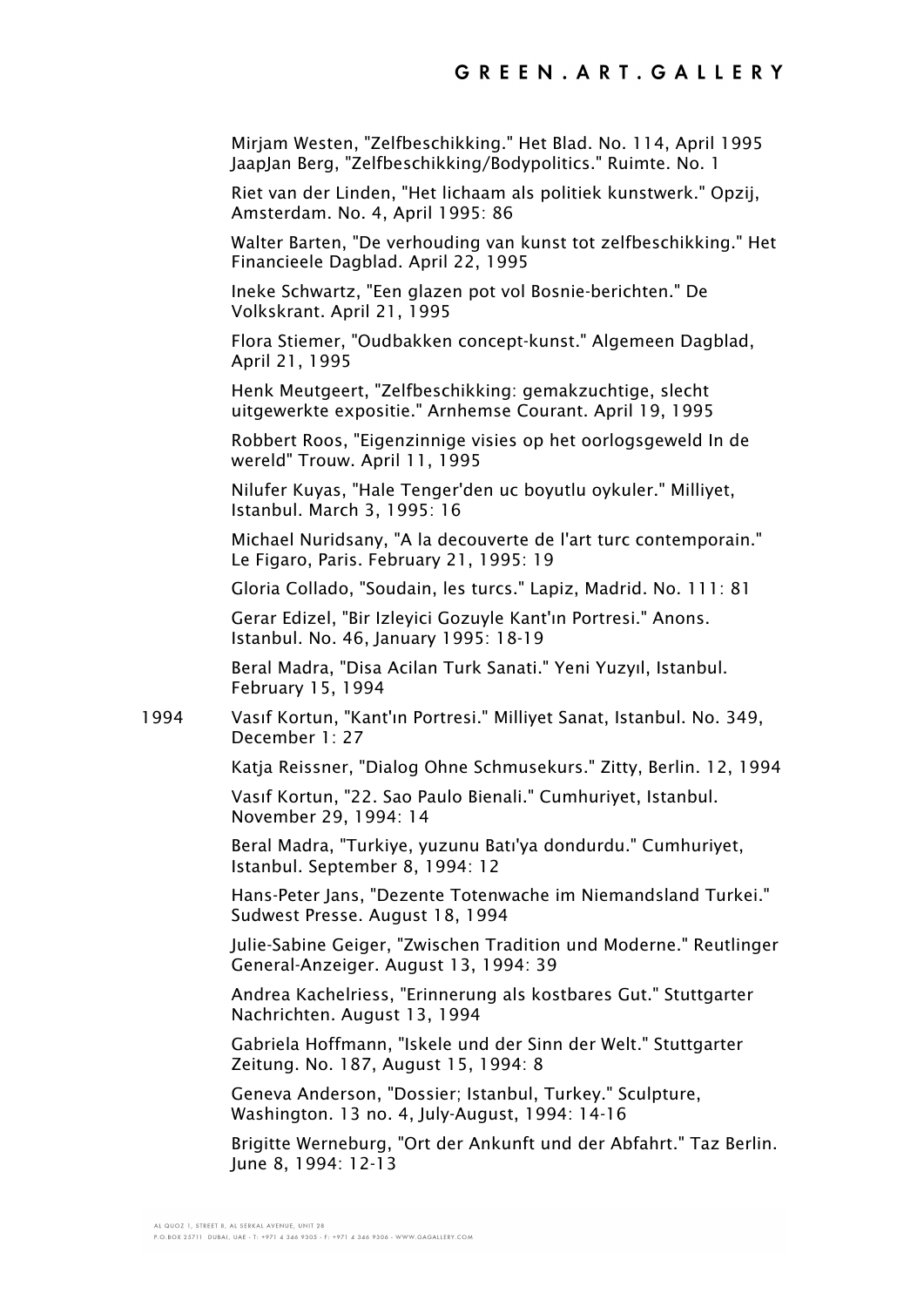Mirjam Westen, "Zelfbeschikking." Het Blad. No. 114, April 1995 JaapJan Berg, "Zelfbeschikking/Bodypolitics." Ruimte. No. 1

Riet van der Linden, "Het lichaam als politiek kunstwerk." Opzij, Amsterdam. No. 4, April 1995: 86

Walter Barten, "De verhouding van kunst tot zelfbeschikking." Het Financieele Dagblad. April 22, 1995

Ineke Schwartz, "Een glazen pot vol Bosnie-berichten." De Volkskrant. April 21, 1995

Flora Stiemer, "Oudbakken concept-kunst." Algemeen Dagblad, April 21, 1995

Henk Meutgeert, "Zelfbeschikking: gemakzuchtige, slecht uitgewerkte expositie." Arnhemse Courant. April 19, 1995

Robbert Roos, "Eigenzinnige visies op het oorlogsgeweld In de wereld" Trouw. April 11, 1995

Nilufer Kuyas, "Hale Tenger'den uc boyutlu oykuler." Milliyet, Istanbul. March 3, 1995: 16

Michael Nuridsany, "A la decouverte de l'art turc contemporain." Le Figaro, Paris. February 21, 1995: 19

Gloria Collado, "Soudain, les turcs." Lapiz, Madrid. No. 111: 81

Gerar Edizel, "Bir Izleyici Gozuyle Kant'ın Portresi." Anons. Istanbul. No. 46, January 1995: 18-19

Beral Madra, "Disa Acilan Turk Sanati." Yeni Yuzyıl, Istanbul. February 15, 1994

1994 Vasıf Kortun, "Kant'ın Portresi." Milliyet Sanat, Istanbul. No. 349, December 1: 27

Katja Reissner, "Dialog Ohne Schmusekurs." Zitty, Berlin. 12, 1994

Vasıf Kortun, "22. Sao Paulo Bienali." Cumhuriyet, Istanbul. November 29, 1994: 14

Beral Madra, "Turkiye, yuzunu Batı'ya dondurdu." Cumhuriyet, Istanbul. September 8, 1994: 12

Hans-Peter Jans, "Dezente Totenwache im Niemandsland Turkei." Sudwest Presse. August 18, 1994

Julie-Sabine Geiger, "Zwischen Tradition und Moderne." Reutlinger General-Anzeiger. August 13, 1994: 39

Andrea Kachelriess, "Erinnerung als kostbares Gut." Stuttgarter Nachrichten. August 13, 1994

Gabriela Hoffmann, "Iskele und der Sinn der Welt." Stuttgarter Zeitung. No. 187, August 15, 1994: 8

Geneva Anderson, "Dossier; Istanbul, Turkey." Sculpture, Washington. 13 no. 4, July-August, 1994: 14-16

Brigitte Werneburg, "Ort der Ankunft und der Abfahrt." Taz Berlin. June 8, 1994: 12-13

AL QUOZ 1, STREET 8, AL SERKAL AVENUE, UNIT 28 P.O.BOX 25711 DUBAI, UAE - T: +971 4 346 9305 - F: +971 4 346 9306 - WWW.GAGALLERY.COM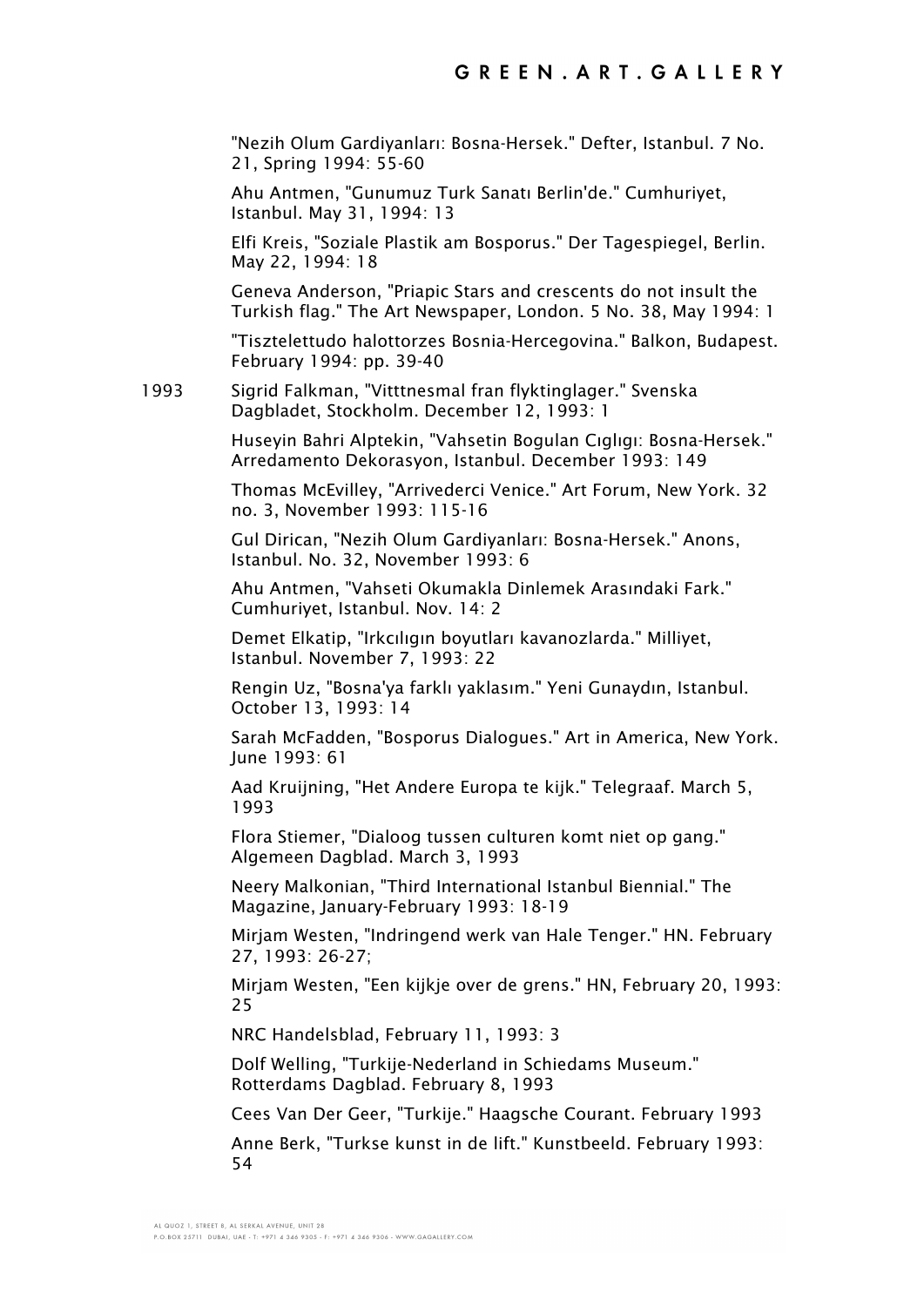"Nezih Olum Gardiyanları: Bosna-Hersek." Defter, Istanbul. 7 No. 21, Spring 1994: 55-60

Ahu Antmen, "Gunumuz Turk Sanatı Berlin'de." Cumhuriyet, Istanbul. May 31, 1994: 13

Elfi Kreis, "Soziale Plastik am Bosporus." Der Tagespiegel, Berlin. May 22, 1994: 18

Geneva Anderson, "Priapic Stars and crescents do not insult the Turkish flag." The Art Newspaper, London. 5 No. 38, May 1994: 1

"Tisztelettudo halottorzes Bosnia-Hercegovina." Balkon, Budapest. February 1994: pp. 39-40

1993 Sigrid Falkman, "Vitttnesmal fran flyktinglager." Svenska Dagbladet, Stockholm. December 12, 1993: 1

> Huseyin Bahri Alptekin, "Vahsetin Bogulan Cıglıgı: Bosna-Hersek." Arredamento Dekorasyon, Istanbul. December 1993: 149

> Thomas McEvilley, "Arrivederci Venice." Art Forum, New York. 32 no. 3, November 1993: 115-16

Gul Dirican, "Nezih Olum Gardiyanları: Bosna-Hersek." Anons, Istanbul. No. 32, November 1993: 6

Ahu Antmen, "Vahseti Okumakla Dinlemek Arasındaki Fark." Cumhuriyet, Istanbul. Nov. 14: 2

Demet Elkatip, "Irkcılıgın boyutları kavanozlarda." Milliyet, Istanbul. November 7, 1993: 22

Rengin Uz, "Bosna'ya farklı yaklasım." Yeni Gunaydın, Istanbul. October 13, 1993: 14

Sarah McFadden, "Bosporus Dialogues." Art in America, New York. June 1993: 61

Aad Kruijning, "Het Andere Europa te kijk." Telegraaf. March 5, 1993

Flora Stiemer, "Dialoog tussen culturen komt niet op gang." Algemeen Dagblad. March 3, 1993

Neery Malkonian, "Third International Istanbul Biennial." The Magazine, January-February 1993: 18-19

Mirjam Westen, "Indringend werk van Hale Tenger." HN. February 27, 1993: 26-27;

Mirjam Westen, "Een kijkje over de grens." HN, February 20, 1993: 25

NRC Handelsblad, February 11, 1993: 3

Dolf Welling, "Turkije-Nederland in Schiedams Museum." Rotterdams Dagblad. February 8, 1993

Cees Van Der Geer, "Turkije." Haagsche Courant. February 1993

Anne Berk, "Turkse kunst in de lift." Kunstbeeld. February 1993: 54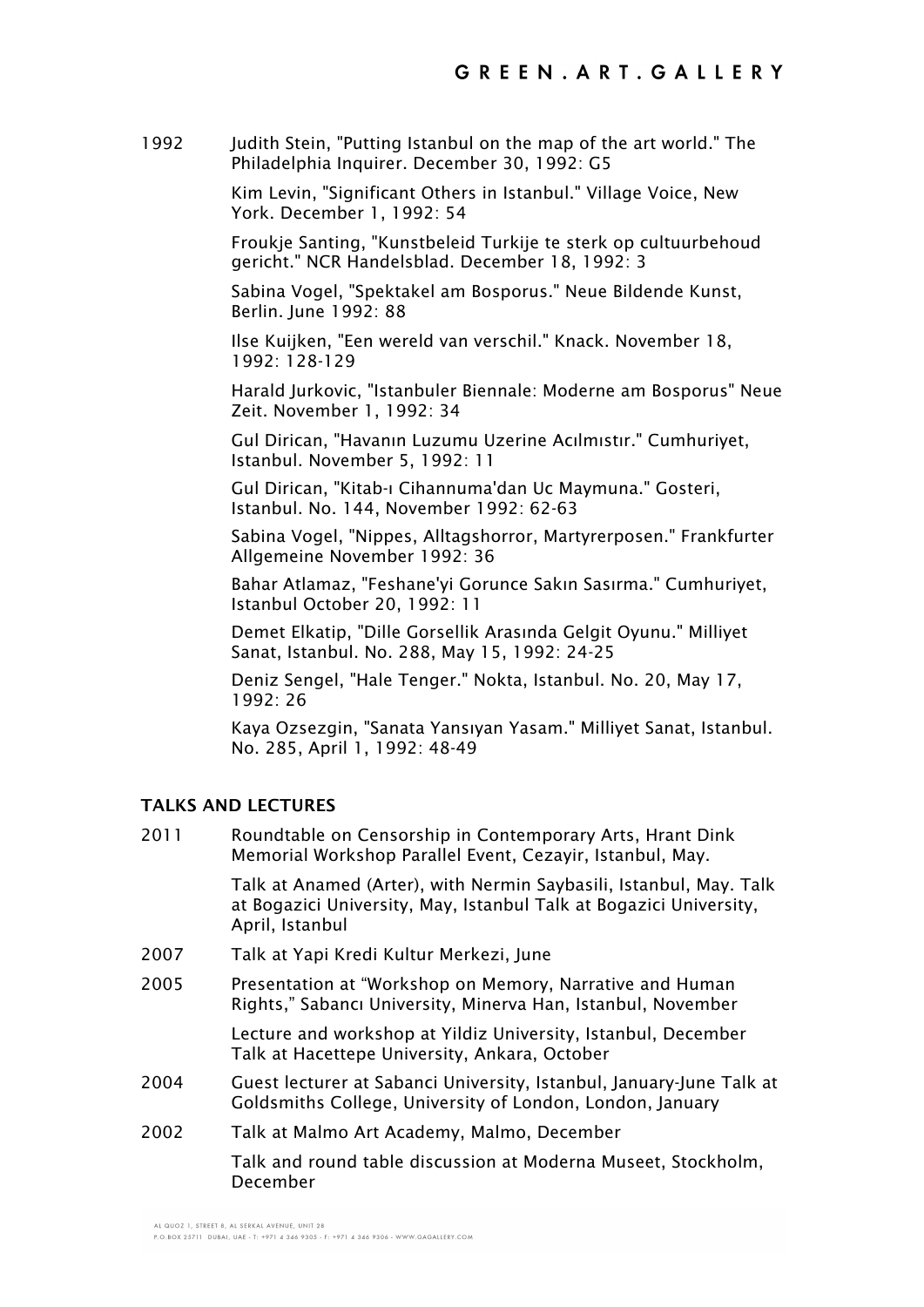1992 Judith Stein, "Putting Istanbul on the map of the art world." The Philadelphia Inquirer. December 30, 1992: G5

> Kim Levin, "Significant Others in Istanbul." Village Voice, New York. December 1, 1992: 54

Froukje Santing, "Kunstbeleid Turkije te sterk op cultuurbehoud gericht." NCR Handelsblad. December 18, 1992: 3

Sabina Vogel, "Spektakel am Bosporus." Neue Bildende Kunst, Berlin. June 1992: 88

Ilse Kuijken, "Een wereld van verschil." Knack. November 18, 1992: 128-129

Harald Jurkovic, "Istanbuler Biennale: Moderne am Bosporus" Neue Zeit. November 1, 1992: 34

Gul Dirican, "Havanın Luzumu Uzerine Acılmıstır." Cumhuriyet, Istanbul. November 5, 1992: 11

Gul Dirican, "Kitab-ı Cihannuma'dan Uc Maymuna." Gosteri, Istanbul. No. 144, November 1992: 62-63

Sabina Vogel, "Nippes, Alltagshorror, Martyrerposen." Frankfurter Allgemeine November 1992: 36

Bahar Atlamaz, "Feshane'yi Gorunce Sakın Sasırma." Cumhuriyet, Istanbul October 20, 1992: 11

Demet Elkatip, "Dille Gorsellik Arasında Gelgit Oyunu." Milliyet Sanat, Istanbul. No. 288, May 15, 1992: 24-25

Deniz Sengel, "Hale Tenger." Nokta, Istanbul. No. 20, May 17, 1992: 26

Kaya Ozsezgin, "Sanata Yansıyan Yasam." Milliyet Sanat, Istanbul. No. 285, April 1, 1992: 48-49

### **TALKS AND LECTURES**

2011 Roundtable on Censorship in Contemporary Arts, Hrant Dink Memorial Workshop Parallel Event, Cezayir, Istanbul, May.

> Talk at Anamed (Arter), with Nermin Saybasili, Istanbul, May. Talk at Bogazici University, May, Istanbul Talk at Bogazici University, April, Istanbul

- 2007 Talk at Yapi Kredi Kultur Merkezi, June
- 2005 Presentation at "Workshop on Memory, Narrative and Human Rights," Sabancı University, Minerva Han, Istanbul, November

Lecture and workshop at Yildiz University, Istanbul, December Talk at Hacettepe University, Ankara, October

- 2004 Guest lecturer at Sabanci University, Istanbul, January-June Talk at Goldsmiths College, University of London, London, January
- 2002 Talk at Malmo Art Academy, Malmo, December

Talk and round table discussion at Moderna Museet, Stockholm, December